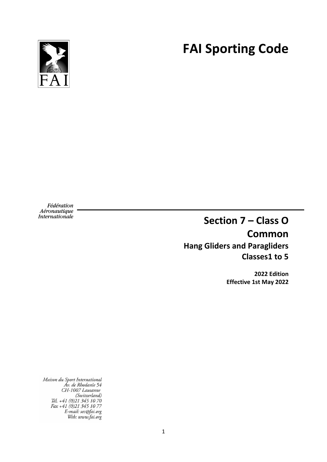# **FAI Sporting Code**



Fédération *Aéronautique*<br>Internationale

# **Section 7 – Class O Common Hang Gliders and Paragliders Classes1 to 5**

**2022 Edition Effective 1st May 2022**

Maison du Sport International<br>Av. de Rhodanie 54<br>CH-1007 Lausanne<br>(Switzerland)<br>Tél. +41 (0)21 345 10 70<br>Fax +41 (0)21 345 10 77<br>E-mail: sec@fai.org<br>Web: www.fai.org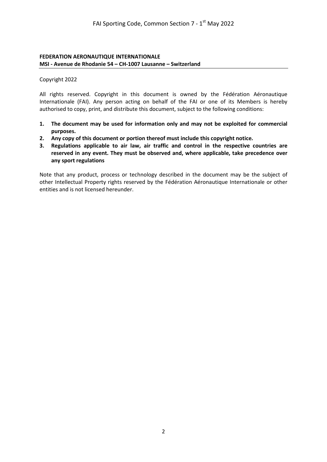#### **FEDERATION AERONAUTIQUE INTERNATIONALE MSI - Avenue de Rhodanie 54 – CH-1007 Lausanne – Switzerland**

Copyright 2022

All rights reserved. Copyright in this document is owned by the Fédération Aéronautique Internationale (FAI). Any person acting on behalf of the FAI or one of its Members is hereby authorised to copy, print, and distribute this document, subject to the following conditions:

- **1. The document may be used for information only and may not be exploited for commercial purposes.**
- **2. Any copy of this document or portion thereof must include this copyright notice.**
- **3. Regulations applicable to air law, air traffic and control in the respective countries are reserved in any event. They must be observed and, where applicable, take precedence over any sport regulations**

Note that any product, process or technology described in the document may be the subject of other Intellectual Property rights reserved by the Fédération Aéronautique Internationale or other entities and is not licensed hereunder.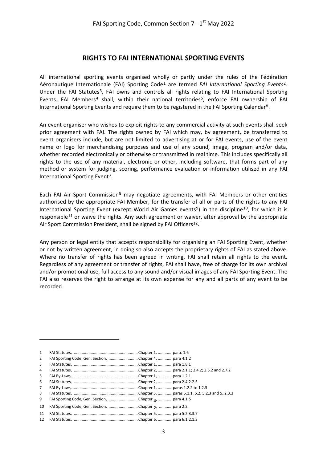#### **RIGHTS TO FAI INTERNATIONAL SPORTING EVENTS**

All international sporting events organised wholly or partly under the rules of the Fédération Aéronautique Internationale (FAI) Sporting Code[1](#page-2-0) are termed *FAI International Sporting Events*[2.](#page-2-1) Under the FAI Statutes<sup>3</sup>, FAI owns and controls all rights relating to FAI International Sporting Events. FAI Members<sup>[4](#page-2-3)</sup> shall, within their national territories<sup>5</sup>, enforce FAI ownership of FAI International Sporting Events and require them to be registered in the FAI Sporting Calendar<sup>6</sup>.

An event organiser who wishes to exploit rights to any commercial activity at such events shall seek prior agreement with FAI. The rights owned by FAI which may, by agreement, be transferred to event organisers include, but are not limited to advertising at or for FAI events, use of the event name or logo for merchandising purposes and use of any sound, image, program and/or data, whether recorded electronically or otherwise or transmitted in real time. This includes specifically all rights to the use of any material, electronic or other, including software, that forms part of any method or system for judging, scoring, performance evaluation or information utilised in any FAI International Sporting Event[7.](#page-2-6)

Each FAI Air Sport Commission<sup>[8](#page-2-7)</sup> may negotiate agreements, with FAI Members or other entities authorised by the appropriate FAI Member, for the transfer of all or parts of the rights to any FAI International Sporting Event (except World Air Games events<sup>[9](#page-2-8)</sup>) in the discipline<sup>[10](#page-2-9)</sup>, for which it is responsible<sup>[11](#page-2-10)</sup> or waive the rights. Any such agreement or waiver, after approval by the appropriate Air Sport Commission President, shall be signed by FAI Officers<sup>[12](#page-2-11)</sup>.

Any person or legal entity that accepts responsibility for organising an FAI Sporting Event, whether or not by written agreement, in doing so also accepts the proprietary rights of FAI as stated above. Where no transfer of rights has been agreed in writing, FAI shall retain all rights to the event. Regardless of any agreement or transfer of rights, FAI shall have, free of charge for its own archival and/or promotional use, full access to any sound and/or visual images of any FAI Sporting Event. The FAI also reserves the right to arrange at its own expense for any and all parts of any event to be recorded.

 $\overline{a}$ 

<span id="page-2-0"></span><sup>1</sup> FAI Statutes, ......................................................... Chapter 1, .............para. 1.6

<span id="page-2-1"></span><sup>2</sup> FAI Sporting Code, Gen. Section, ..........................Chapter 4, ............. para 4.1.2

<span id="page-2-2"></span><sup>3</sup> FAI Statutes, ......................................................... Chapter 1, .............para 1.8.1 4 FAI Statutes, ......................................................... Chapter 2, .............para 2.1.1; 2.4.2; 2.5.2 and 2.7.2

<span id="page-2-4"></span><span id="page-2-3"></span><sup>5</sup> FAI By-Laws, .......................................................... Chapter 1, .............para 1.2.1

<sup>6</sup> FAI Statutes, ......................................................... Chapter 2, .............para 2.4.2.2.5

<span id="page-2-5"></span><sup>7</sup> FAI By-Laws, .......................................................... Chapter 1, .............paras 1.2.2 to 1.2.5

<span id="page-2-8"></span><span id="page-2-7"></span><span id="page-2-6"></span><sup>8</sup> FAI Statutes, ......................................................... Chapter 5, .............paras 5.1.1, 5.2, 5.2.3 and 5..2.3.3

<sup>9</sup> FAI Sporting Code, Gen. Section, ...........................Chapter <sub>4</sub>, ............. para 4.1.5

<span id="page-2-9"></span><sup>10</sup> FAI Sporting Code, Gen. Section, ............................Chapter 2, ................................

<span id="page-2-10"></span><sup>11</sup> FAI Statutes, ......................................................... Chapter 5, .............para 5.2.3.3.7

<span id="page-2-11"></span><sup>12</sup> FAI Statutes, ......................................................... Chapter 6, .............para 6.1.2.1.3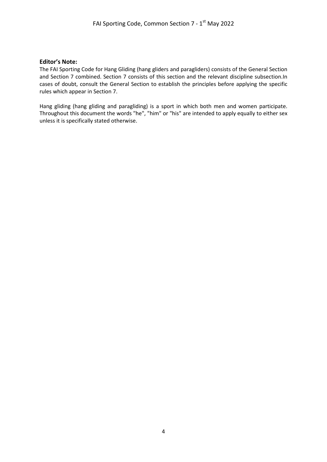#### **Editor's Note:**

The FAI Sporting Code for Hang Gliding (hang gliders and paragliders) consists of the General Section and Section 7 combined. Section 7 consists of this section and the relevant discipline subsection.In cases of doubt, consult the General Section to establish the principles before applying the specific rules which appear in Section 7.

Hang gliding (hang gliding and paragliding) is a sport in which both men and women participate. Throughout this document the words "he", "him" or "his" are intended to apply equally to either sex unless it is specifically stated otherwise.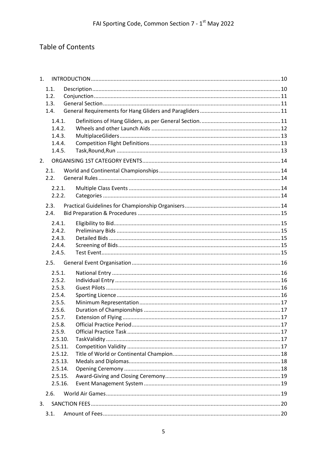# Table of Contents

| 1.                |  |  |
|-------------------|--|--|
| 1.1.              |  |  |
| 1.2.              |  |  |
| 1.3.              |  |  |
| 1.4.              |  |  |
| 1.4.1.            |  |  |
| 1.4.2.            |  |  |
| 1.4.3.            |  |  |
| 1.4.4.            |  |  |
| 1.4.5.            |  |  |
| 2.                |  |  |
| 2.1.              |  |  |
| 2.2.              |  |  |
| 2.2.1.            |  |  |
| 2.2.2.            |  |  |
| 2.3.              |  |  |
| 2.4.              |  |  |
| 2.4.1.            |  |  |
| 2.4.2.            |  |  |
| 2.4.3.            |  |  |
| 2.4.4.            |  |  |
| 2.4.5.            |  |  |
| 2.5.              |  |  |
| 2.5.1.            |  |  |
| 2.5.2.            |  |  |
| 2.5.3.            |  |  |
| 2.5.4.            |  |  |
| 2.5.5.            |  |  |
| 2.5.6.            |  |  |
| 2.5.7.            |  |  |
| 2.5.8.            |  |  |
| 2.5.9.<br>2.5.10. |  |  |
| 2.5.11.           |  |  |
| 2.5.12.           |  |  |
| 2.5.13.           |  |  |
| 2.5.14.           |  |  |
| 2.5.15.           |  |  |
| 2.5.16.           |  |  |
| 2.6.              |  |  |
| 3.                |  |  |
| 3.1.              |  |  |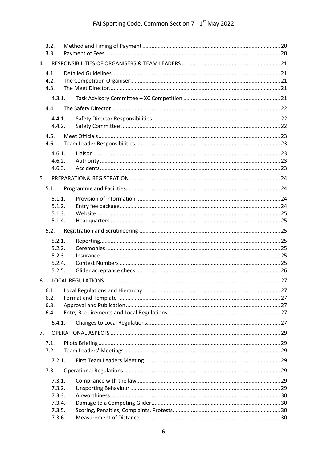|    | 3.2.<br>3.3.         |  |  |
|----|----------------------|--|--|
| 4. |                      |  |  |
|    | 4.1.<br>4.2.<br>4.3. |  |  |
|    | 4.3.1.               |  |  |
|    | 4.4.                 |  |  |
|    | 4.4.1.<br>4.4.2.     |  |  |
|    | 4.5.                 |  |  |
|    | 4.6.                 |  |  |
|    | 4.6.1.<br>4.6.2.     |  |  |
|    | 4.6.3.               |  |  |
| 5. |                      |  |  |
|    | 5.1.                 |  |  |
|    | 5.1.1.               |  |  |
|    | 5.1.2.               |  |  |
|    | 5.1.3.               |  |  |
|    | 5.1.4.               |  |  |
|    | 5.2.                 |  |  |
|    | 5.2.1.<br>5.2.2.     |  |  |
|    | 5.2.3.               |  |  |
|    | 5.2.4.               |  |  |
|    | 5.2.5.               |  |  |
| 6. |                      |  |  |
|    | 6.1.                 |  |  |
|    | 6.2.                 |  |  |
|    | 6.3.<br>6.4.         |  |  |
|    | 6.4.1.               |  |  |
| 7. |                      |  |  |
|    | 7.1.                 |  |  |
|    | 7.2.                 |  |  |
|    | 7.2.1.               |  |  |
|    | 7.3.                 |  |  |
|    | 7.3.1.               |  |  |
|    | 7.3.2.               |  |  |
|    | 7.3.3.               |  |  |
|    | 7.3.4.               |  |  |
|    | 7.3.5.<br>7.3.6.     |  |  |
|    |                      |  |  |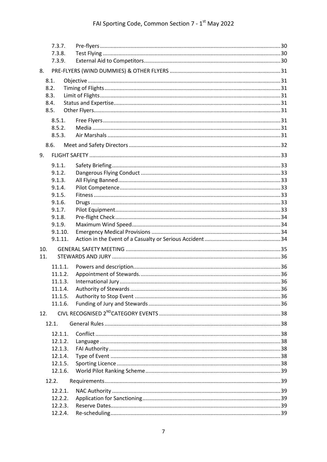|     | 7.3.7.  |  |  |
|-----|---------|--|--|
|     | 7.3.8.  |  |  |
|     | 7.3.9.  |  |  |
| 8.  |         |  |  |
|     | 8.1.    |  |  |
|     | 8.2.    |  |  |
|     | 8.3.    |  |  |
|     | 8.4.    |  |  |
|     | 8.5.    |  |  |
|     | 8.5.1.  |  |  |
|     | 8.5.2.  |  |  |
|     | 8.5.3.  |  |  |
|     | 8.6.    |  |  |
| 9.  |         |  |  |
|     | 9.1.1.  |  |  |
|     | 9.1.2.  |  |  |
|     | 9.1.3.  |  |  |
|     | 9.1.4.  |  |  |
|     | 9.1.5.  |  |  |
|     | 9.1.6.  |  |  |
|     | 9.1.7.  |  |  |
|     | 9.1.8.  |  |  |
|     | 9.1.9.  |  |  |
|     | 9.1.10. |  |  |
|     | 9.1.11. |  |  |
| 10. |         |  |  |
| 11. |         |  |  |
|     | 11.1.1. |  |  |
|     | 11.1.2. |  |  |
|     | 11.1.3. |  |  |
|     | 11.1.4. |  |  |
|     | 11.1.5. |  |  |
|     | 11.1.6. |  |  |
| 12. |         |  |  |
|     | 12.1.   |  |  |
|     | 12.1.1. |  |  |
|     | 12.1.2. |  |  |
|     | 12.1.3. |  |  |
|     | 12.1.4. |  |  |
|     | 12.1.5. |  |  |
|     | 12.1.6. |  |  |
|     | 12.2.   |  |  |
|     | 12.2.1. |  |  |
|     | 12.2.2. |  |  |
|     | 12.2.3. |  |  |
|     | 12.2.4. |  |  |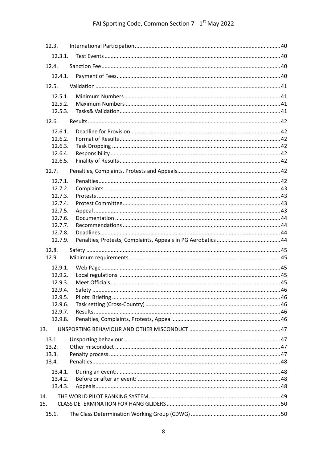# FAI Sporting Code, Common Section 7 - 1<sup>st</sup> May 2022

| 12.3.   |  |
|---------|--|
| 12.3.1. |  |
| 12.4.   |  |
| 12.4.1. |  |
| 12.5.   |  |
| 12.5.1. |  |
| 12.5.2. |  |
| 12.5.3. |  |
| 12.6.   |  |
| 12.6.1. |  |
| 12.6.2. |  |
| 12.6.3. |  |
| 12.6.4. |  |
| 12.6.5. |  |
| 12.7.   |  |
| 12.7.1. |  |
| 12.7.2. |  |
| 12.7.3. |  |
| 12.7.4. |  |
| 12.7.5. |  |
| 12.7.6. |  |
| 12.7.7. |  |
| 12.7.8. |  |
| 12.7.9. |  |
| 12.8.   |  |
| 12.9.   |  |
| 12.9.1. |  |
| 12.9.2. |  |
| 12.9.3. |  |
| 12.9.4. |  |
| 12.9.5. |  |
| 12.9.6. |  |
| 12.9.7. |  |
| 12.9.8. |  |
| 13.     |  |
| 13.1.   |  |
| 13.2.   |  |
| 13.3.   |  |
| 13.4.   |  |
| 13.4.1. |  |
| 13.4.2. |  |
| 13.4.3. |  |
| 14.     |  |
| 15.     |  |
| 15.1.   |  |
|         |  |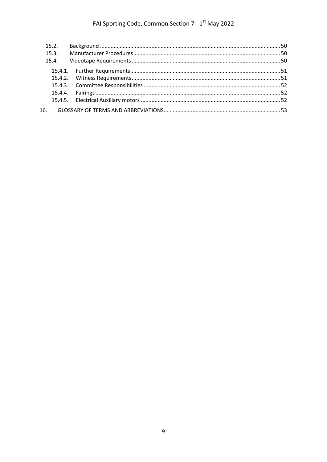# FAI Sporting Code, Common Section 7 - 1<sup>st</sup> May 2022

|     | 15.2. |  |
|-----|-------|--|
|     | 15.3. |  |
|     | 15.4. |  |
|     |       |  |
|     |       |  |
|     |       |  |
|     |       |  |
|     |       |  |
| 16. |       |  |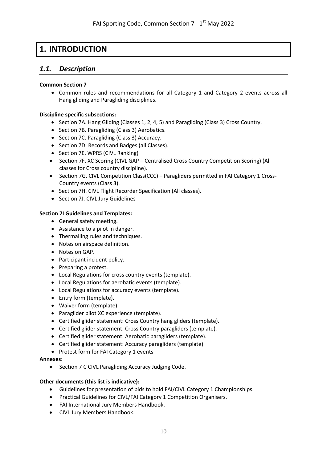# **1. INTRODUCTION**

# <span id="page-9-1"></span><span id="page-9-0"></span>*1.1. Description*

#### **Common Section 7**

• Common rules and recommendations for all Category 1 and Category 2 events across all Hang gliding and Paragliding disciplines.

#### **Discipline specific subsections:**

- Section 7A. Hang Gliding (Classes 1, 2, 4, 5) and Paragliding (Class 3) Cross Country.
- Section 7B. Paragliding (Class 3) Aerobatics.
- Section 7C. Paragliding (Class 3) Accuracy.
- Section 7D. Records and Badges (all Classes).
- Section 7E. WPRS (CIVL Ranking)
- Section 7F. XC Scoring (CIVL GAP Centralised Cross Country Competition Scoring) (All classes for Cross country discipline).
- Section 7G. CIVL Competition Class(CCC) Paragliders permitted in FAI Category 1 Cross-Country events (Class 3).
- Section 7H. CIVL Flight Recorder Specification (All classes).
- Section 7J. CIVL Jury Guidelines

#### **Section 7I Guidelines and Templates:**

- General safety meeting.
- Assistance to a pilot in danger.
- Thermalling rules and techniques.
- Notes on airspace definition.
- Notes on GAP.
- Participant incident policy.
- Preparing a protest.
- Local Regulations for cross country events (template).
- Local Regulations for aerobatic events (template).
- Local Regulations for accuracy events (template).
- Entry form (template).
- Waiver form (template).
- Paraglider pilot XC experience (template).
- Certified glider statement: Cross Country hang gliders (template).
- Certified glider statement: Cross Country paragliders (template).
- Certified glider statement: Aerobatic paragliders (template).
- Certified glider statement: Accuracy paragliders (template).
- Protest form for FAI Category 1 events

#### **Annexes:**

• Section 7 C CIVL Paragliding Accuracy Judging Code.

#### **Other documents (this list is indicative):**

- Guidelines for presentation of bids to hold FAI/CIVL Category 1 Championships.
- Practical Guidelines for CIVL/FAI Category 1 Competition Organisers.
- FAI International Jury Members Handbook.
- CIVL Jury Members Handbook.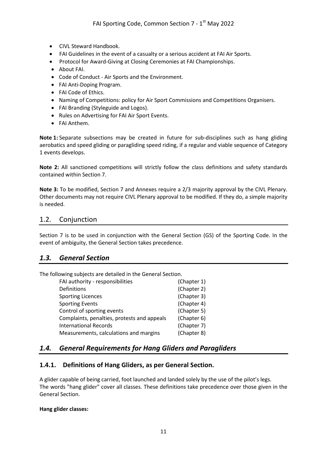- CIVL Steward Handbook.
- FAI Guidelines in the event of a casualty or a serious accident at FAI Air Sports.
- Protocol for Award-Giving at Closing Ceremonies at FAI Championships.
- [About FAI.](http://www.fai.org/downloads/fai/about_fai)
- Code of Conduct [Air Sports and the Environment.](http://www.fai.org/envc-projects/envc-code-of-conduct)
- [FAI Anti-Doping Program.](http://www.fai.org/cimp-anti-doping-programme)
- [FAI Code of Ethics.](http://www.fai.org/downloads/fai/code_of_ethics)
- [Naming of Competitions: policy for Air Sport Commissions and Competitions Organisers.](http://www.fai.org/downloads/fai/namingofcompetitions)
- [FAI Branding \(Styleguide and Logos\).](http://www.fai.org/about-fai/fai-branding)
- [Rules on Advertising for FAI Air Sport Events.](http://www.fai.org/downloads/fai/rules_on_advertising)
- [FAI Anthem.](http://www.fai.org/downloads/fai/anthem)

**Note 1:** Separate subsections may be created in future for sub-disciplines such as hang gliding aerobatics and speed gliding or paragliding speed riding, if a regular and viable sequence of Category 1 events develops.

**Note 2:** All sanctioned competitions will strictly follow the class definitions and safety standards contained within Section 7.

**Note 3:** To be modified, Section 7 and Annexes require a 2/3 majority approval by the CIVL Plenary. Other documents may not require CIVL Plenary approval to be modified. If they do, a simple majority is needed.

## <span id="page-10-0"></span>1.2. Conjunction

Section 7 is to be used in conjunction with the General Section (GS) of the Sporting Code. In the event of ambiguity, the General Section takes precedence.

#### <span id="page-10-1"></span>*1.3. General Section*

The following subjects are detailed in the General Section.

| FAI authority - responsibilities            | (Chapter 1) |
|---------------------------------------------|-------------|
| Definitions                                 | (Chapter 2) |
| <b>Sporting Licences</b>                    | (Chapter 3) |
| <b>Sporting Events</b>                      | (Chapter 4) |
| Control of sporting events                  | (Chapter 5) |
| Complaints, penalties, protests and appeals | (Chapter 6) |
| <b>International Records</b>                | (Chapter 7) |
| Measurements, calculations and margins      | (Chapter 8) |
|                                             |             |

# <span id="page-10-2"></span>*1.4. General Requirements for Hang Gliders and Paragliders*

#### <span id="page-10-3"></span>**1.4.1. Definitions of Hang Gliders, as per General Section.**

A glider capable of being carried, foot launched and landed solely by the use of the pilot's legs. The words "hang glider" cover all classes. These definitions take precedence over those given in the General Section.

#### **Hang glider classes:**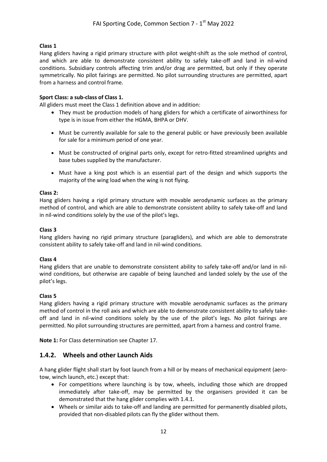#### **Class 1**

Hang gliders having a rigid primary structure with pilot weight-shift as the sole method of control, and which are able to demonstrate consistent ability to safely take-off and land in nil-wind conditions. Subsidiary controls affecting trim and/or drag are permitted, but only if they operate symmetrically. No pilot fairings are permitted. No pilot surrounding structures are permitted, apart from a harness and control frame.

#### **Sport Class: a sub-class of Class 1.**

All gliders must meet the Class 1 definition above and in addition:

- They must be production models of hang gliders for which a certificate of airworthiness for type is in issue from either the HGMA, BHPA or DHV.
- Must be currently available for sale to the general public or have previously been available for sale for a minimum period of one year.
- Must be constructed of original parts only, except for retro-fitted streamlined uprights and base tubes supplied by the manufacturer.
- Must have a king post which is an essential part of the design and which supports the majority of the wing load when the wing is not flying.

#### **Class 2:**

Hang gliders having a rigid primary structure with movable aerodynamic surfaces as the primary method of control, and which are able to demonstrate consistent ability to safely take-off and land in nil-wind conditions solely by the use of the pilot's legs.

#### **Class 3**

Hang gliders having no rigid primary structure (paragliders), and which are able to demonstrate consistent ability to safely take-off and land in nil-wind conditions.

#### **Class 4**

Hang gliders that are unable to demonstrate consistent ability to safely take-off and/or land in nilwind conditions, but otherwise are capable of being launched and landed solely by the use of the pilot's legs.

#### **Class 5**

Hang gliders having a rigid primary structure with movable aerodynamic surfaces as the primary method of control in the roll axis and which are able to demonstrate consistent ability to safely takeoff and land in nil-wind conditions solely by the use of the pilot's legs. No pilot fairings are permitted. No pilot surrounding structures are permitted, apart from a harness and control frame.

<span id="page-11-0"></span>**Note 1:** For Class determination see Chapter 17.

#### **1.4.2. Wheels and other Launch Aids**

A hang glider flight shall start by foot launch from a hill or by means of mechanical equipment (aerotow, winch launch, etc.) except that:

- For competitions where launching is by tow, wheels, including those which are dropped immediately after take-off, may be permitted by the organisers provided it can be demonstrated that the hang glider complies with 1.4.1.
- Wheels or similar aids to take-off and landing are permitted for permanently disabled pilots, provided that non-disabled pilots can fly the glider without them.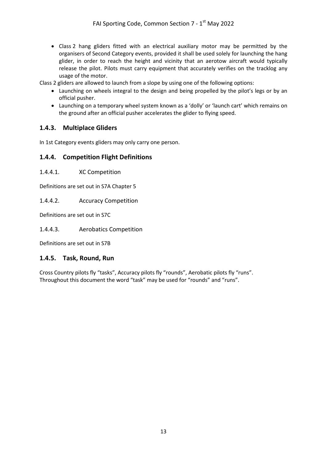• Class 2 hang gliders fitted with an electrical auxiliary motor may be permitted by the organisers of Second Category events, provided it shall be used solely for launching the hang glider, in order to reach the height and vicinity that an aerotow aircraft would typically release the pilot. Pilots must carry equipment that accurately verifies on the tracklog any usage of the motor.

Class 2 gliders are allowed to launch from a slope by using one of the following options:

- Launching on wheels integral to the design and being propelled by the pilot's legs or by an official pusher.
- Launching on a temporary wheel system known as a 'dolly' or 'launch cart' which remains on the ground after an official pusher accelerates the glider to flying speed.

#### <span id="page-12-0"></span>**1.4.3. Multiplace Gliders**

<span id="page-12-1"></span>In 1st Category events gliders may only carry one person.

#### **1.4.4. Competition Flight Definitions**

#### 1.4.4.1. XC Competition

Definitions are set out in S7A Chapter 5

#### 1.4.4.2. Accuracy Competition

Definitions are set out in S7C

#### 1.4.4.3. Aerobatics Competition

<span id="page-12-2"></span>Definitions are set out in S7B

#### **1.4.5. Task, Round, Run**

Cross Country pilots fly "tasks", Accuracy pilots fly "rounds", Aerobatic pilots fly "runs". Throughout this document the word "task" may be used for "rounds" and "runs".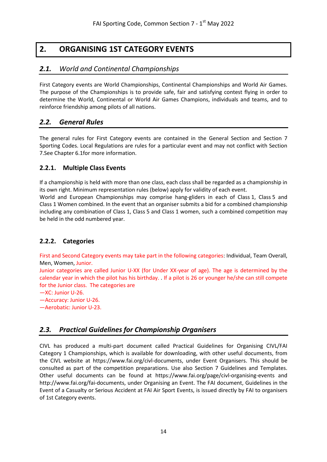# **2. ORGANISING 1ST CATEGORY EVENTS**

# <span id="page-13-1"></span><span id="page-13-0"></span>*2.1. World and Continental Championships*

First Category events are World Championships, Continental Championships and World Air Games. The purpose of the Championships is to provide safe, fair and satisfying contest flying in order to determine the World, Continental or World Air Games Champions, individuals and teams, and to reinforce friendship among pilots of all nations.

# <span id="page-13-2"></span>*2.2. General Rules*

The general rules for First Category events are contained in the General Section and Section 7 Sporting Codes. Local Regulations are rules for a particular event and may not conflict with Section 7.See Chapter 6.1for more information.

# <span id="page-13-3"></span>**2.2.1. Multiple Class Events**

If a championship is held with more than one class, each class shall be regarded as a championship in its own right. Minimum representation rules (below) apply for validity of each event.

World and European Championships may comprise hang-gliders in each of Class 1, Class 5 and Class 1 Women combined. In the event that an organiser submits a bid for a combined championship including any combination of Class 1, Class 5 and Class 1 women, such a combined competition may be held in the odd numbered year.

# <span id="page-13-4"></span>**2.2.2. Categories**

First and Second Category events may take part in the following categories: Individual, Team Overall, Men, Women, Junior.

Junior categories are called Junior U-XX (for Under XX-year of age). The age is determined by the calendar year in which the pilot has his birthday. . If a pilot is 26 or younger he/she can still compete for the Junior class. The categories are

—XC: Junior U-26.

—Accuracy: Junior U-26.

—Aerobatic: Junior U-23.

# <span id="page-13-5"></span>*2.3. Practical Guidelines for Championship Organisers*

CIVL has produced a multi-part document called Practical Guidelines for Organising CIVL/FAI Category 1 Championships, which is available for downloading, with other useful documents, from the CIVL website at [https://www.fai.org/civl-documents,](https://www.fai.org/civl-documents) under Event Organisers. This should be consulted as part of the competition preparations. Use also Section 7 Guidelines and Templates. Other useful documents can be found at <https://www.fai.org/page/civl-organising-events> and [http://www.fai.org/fai-documents,](http://www.fai.org/fai-documents) under Organising an Event. The FAI document, Guidelines in the Event of a Casualty or Serious Accident at FAI Air Sport Events, is issued directly by FAI to organisers of 1st Category events.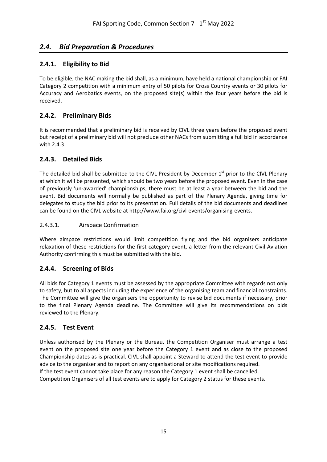# <span id="page-14-0"></span>*2.4. Bid Preparation & Procedures*

## <span id="page-14-1"></span>**2.4.1. Eligibility to Bid**

To be eligible, the NAC making the bid shall, as a minimum, have held a national championship or FAI Category 2 competition with a minimum entry of 50 pilots for Cross Country events or 30 pilots for Accuracy and Aerobatics events, on the proposed site(s) within the four years before the bid is received.

### <span id="page-14-2"></span>**2.4.2. Preliminary Bids**

It is recommended that a preliminary bid is received by CIVL three years before the proposed event but receipt of a preliminary bid will not preclude other NACs from submitting a full bid in accordance with 2.4.3.

## <span id="page-14-3"></span>**2.4.3. Detailed Bids**

The detailed bid shall be submitted to the CIVL President by December 1st prior to the CIVL Plenary at which it will be presented, which should be two years before the proposed event. Even in the case of previously 'un-awarded' championships, there must be at least a year between the bid and the event. Bid documents will normally be published as part of the Plenary Agenda, giving time for delegates to study the bid prior to its presentation. Full details of the bid documents and deadlines can be found on the CIVL website a[t http://www.fai.org/civl-events/organising-events.](http://www.fai.org/civl-events/organising-events)

#### 2.4.3.1. Airspace Confirmation

Where airspace restrictions would limit competition flying and the bid organisers anticipate relaxation of these restrictions for the first category event, a letter from the relevant Civil Aviation Authority confirming this must be submitted with the bid.

# <span id="page-14-4"></span>**2.4.4. Screening of Bids**

All bids for Category 1 events must be assessed by the appropriate Committee with regards not only to safety, but to all aspects including the experience of the organising team and financial constraints. The Committee will give the organisers the opportunity to revise bid documents if necessary, prior to the final Plenary Agenda deadline. The Committee will give its recommendations on bids reviewed to the Plenary.

#### <span id="page-14-5"></span>**2.4.5. Test Event**

Unless authorised by the Plenary or the Bureau, the Competition Organiser must arrange a test event on the proposed site one year before the Category 1 event and as close to the proposed Championship dates as is practical. CIVL shall appoint a Steward to attend the test event to provide advice to the organiser and to report on any organisational or site modifications required. If the test event cannot take place for any reason the Category 1 event shall be cancelled. Competition Organisers of all test events are to apply for Category 2 status for these events.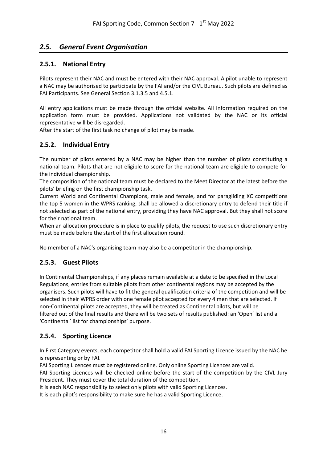# <span id="page-15-0"></span>*2.5. General Event Organisation*

### <span id="page-15-1"></span>**2.5.1. National Entry**

Pilots represent their NAC and must be entered with their NAC approval. A pilot unable to represent a NAC may be authorised to participate by the FAI and/or the CIVL Bureau. Such pilots are defined as FAI Participants. See General Section 3.1.3.5 and 4.5.1.

All entry applications must be made through the official website. All information required on the application form must be provided. Applications not validated by the NAC or its official representative will be disregarded.

<span id="page-15-2"></span>After the start of the first task no change of pilot may be made.

## **2.5.2. Individual Entry**

The number of pilots entered by a NAC may be higher than the number of pilots constituting a national team. Pilots that are not eligible to score for the national team are eligible to compete for the individual championship.

The composition of the national team must be declared to the Meet Director at the latest before the pilots' briefing on the first championship task.

Current World and Continental Champions, male and female, and for paragliding XC competitions the top 5 women in the WPRS ranking, shall be allowed a discretionary entry to defend their title if not selected as part of the national entry, providing they have NAC approval. But they shall not score for their national team.

When an allocation procedure is in place to qualify pilots, the request to use such discretionary entry must be made before the start of the first allocation round.

<span id="page-15-3"></span>No member of a NAC's organising team may also be a competitor in the championship.

# **2.5.3. Guest Pilots**

In Continental Championships, if any places remain available at a date to be specified in the Local Regulations, entries from suitable pilots from other continental regions may be accepted by the organisers. Such pilots will have to fit the general qualification criteria of the competition and will be selected in their WPRS order with one female pilot accepted for every 4 men that are selected. If non-Continental pilots are accepted, they will be treated as Continental pilots, but will be filtered out of the final results and there will be two sets of results published: an 'Open' list and a 'Continental' list for championships' purpose.

#### <span id="page-15-4"></span>**2.5.4. Sporting Licence**

In First Category events, each competitor shall hold a valid FAI Sporting Licence issued by the NAC he is representing or by FAI.

FAI Sporting Licences must be registered online. Only online Sporting Licences are valid.

FAI Sporting Licences will be checked online before the start of the competition by the CIVL Jury President. They must cover the total duration of the competition.

It is each NAC responsibility to select only pilots with valid Sporting Licences.

It is each pilot's responsibility to make sure he has a valid Sporting Licence.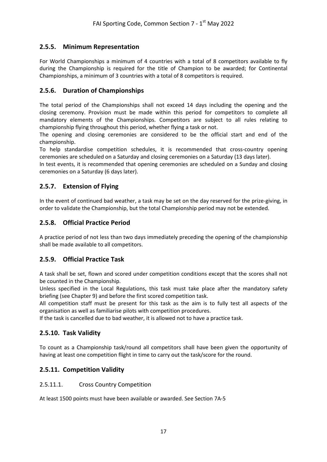# <span id="page-16-0"></span>**2.5.5. Minimum Representation**

For World Championships a minimum of 4 countries with a total of 8 competitors available to fly during the Championship is required for the title of Champion to be awarded; for Continental Championships, a minimum of 3 countries with a total of 8 competitors is required.

# <span id="page-16-1"></span>**2.5.6. Duration of Championships**

The total period of the Championships shall not exceed 14 days including the opening and the closing ceremony. Provision must be made within this period for competitors to complete all mandatory elements of the Championships. Competitors are subject to all rules relating to championship flying throughout this period, whether flying a task or not.

The opening and closing ceremonies are considered to be the official start and end of the championship.

To help standardise competition schedules, it is recommended that cross-country opening ceremonies are scheduled on a Saturday and closing ceremonies on a Saturday (13 days later).

In test events, it is recommended that opening ceremonies are scheduled on a Sunday and closing ceremonies on a Saturday (6 days later).

## <span id="page-16-2"></span>**2.5.7. Extension of Flying**

In the event of continued bad weather, a task may be set on the day reserved for the prize-giving, in order to validate the Championship, but the total Championship period may not be extended.

## <span id="page-16-3"></span>**2.5.8. Official Practice Period**

A practice period of not less than two days immediately preceding the opening of the championship shall be made available to all competitors.

#### <span id="page-16-4"></span>**2.5.9. Official Practice Task**

A task shall be set, flown and scored under competition conditions except that the scores shall not be counted in the Championship.

Unless specified in the Local Regulations, this task must take place after the mandatory safety briefing (see Chapter 9) and before the first scored competition task.

All competition staff must be present for this task as the aim is to fully test all aspects of the organisation as well as familiarise pilots with competition procedures.

<span id="page-16-5"></span>If the task is cancelled due to bad weather, it is allowed not to have a practice task.

#### **2.5.10. Task Validity**

To count as a Championship task/round all competitors shall have been given the opportunity of having at least one competition flight in time to carry out the task/score for the round.

#### <span id="page-16-6"></span>**2.5.11. Competition Validity**

#### 2.5.11.1. Cross Country Competition

At least 1500 points must have been available or awarded. See Section 7A-5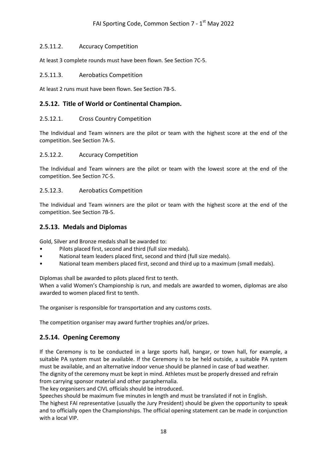#### 2.5.11.2. Accuracy Competition

At least 3 complete rounds must have been flown. See Section 7C-5.

#### 2.5.11.3. Aerobatics Competition

<span id="page-17-0"></span>At least 2 runs must have been flown. See Section 7B-5.

#### **2.5.12. Title of World or Continental Champion.**

#### 2.5.12.1. Cross Country Competition

The Individual and Team winners are the pilot or team with the highest score at the end of the competition. See Section 7A-5.

#### 2.5.12.2. Accuracy Competition

The Individual and Team winners are the pilot or team with the lowest score at the end of the competition. See Section 7C-5.

#### 2.5.12.3. Aerobatics Competition

The Individual and Team winners are the pilot or team with the highest score at the end of the competition. See Section 7B-5.

#### <span id="page-17-1"></span>**2.5.13. Medals and Diplomas**

Gold, Silver and Bronze medals shall be awarded to:

- Pilots placed first, second and third (full size medals).
- National team leaders placed first, second and third (full size medals).
- National team members placed first, second and third up to a maximum (small medals).

Diplomas shall be awarded to pilots placed first to tenth.

When a valid Women's Championship is run, and medals are awarded to women, diplomas are also awarded to women placed first to tenth.

The organiser is responsible for transportation and any customs costs.

<span id="page-17-2"></span>The competition organiser may award further trophies and/or prizes.

#### **2.5.14. Opening Ceremony**

If the Ceremony is to be conducted in a large sports hall, hangar, or town hall, for example, a suitable PA system must be available. If the Ceremony is to be held outside, a suitable PA system must be available, and an alternative indoor venue should be planned in case of bad weather. The dignity of the ceremony must be kept in mind. Athletes must be properly dressed and refrain from carrying sponsor material and other paraphernalia.

The key organisers and CIVL officials should be introduced.

Speeches should be maximum five minutes in length and must be translated if not in English. The highest FAI representative (usually the Jury President) should be given the opportunity to speak and to officially open the Championships. The official opening statement can be made in conjunction with a local VIP.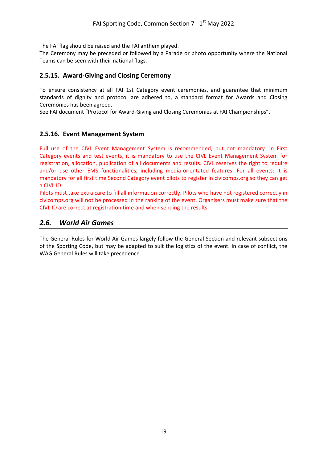The FAI flag should be raised and the FAI anthem played.

The Ceremony may be preceded or followed by a Parade or photo opportunity where the National Teams can be seen with their national flags.

#### <span id="page-18-0"></span>**2.5.15. Award-Giving and Closing Ceremony**

To ensure consistency at all FAI 1st Category event ceremonies, and guarantee that minimum standards of dignity and protocol are adhered to, a standard format for Awards and Closing Ceremonies has been agreed.

See FAI document "Protocol for Award-Giving and Closing Ceremonies at FAI Championships".

#### <span id="page-18-1"></span>**2.5.16. Event Management System**

Full use of the CIVL Event Management System is recommended, but not mandatory. In First Category events and test events, it is mandatory to use the CIVL Event Management System for registration, allocation, publication of all documents and results. CIVL reserves the right to require and/or use other EMS functionalities, including media-orientated features. For all events: It is mandatory for all first time Second Category event pilots to register in civlcomps.org so they can get a CIVL ID.

Pilots must take extra care to fill all information correctly. Pilots who have not registered correctly in civlcomps.org will not be processed in the ranking of the event. Organisers must make sure that the CIVL ID are correct at registration time and when sending the results.

# <span id="page-18-2"></span>*2.6. World Air Games*

The General Rules for World Air Games largely follow the General Section and relevant subsections of the Sporting Code, but may be adapted to suit the logistics of the event. In case of conflict, the WAG General Rules will take precedence.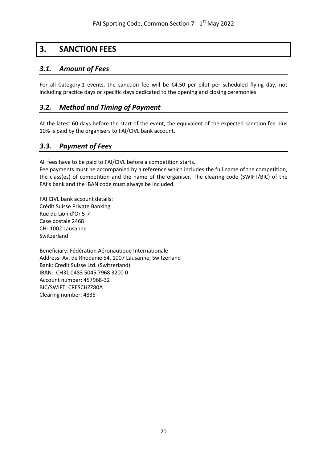# **3. SANCTION FEES**

# <span id="page-19-1"></span><span id="page-19-0"></span>*3.1. Amount of Fees*

For all Category 1 events, the sanction fee will be €4.50 per pilot per scheduled flying day, not including practice days or specific days dedicated to the opening and closing ceremonies.

# <span id="page-19-2"></span>*3.2. Method and Timing of Payment*

At the latest 60 days before the start of the event, the equivalent of the expected sanction fee plus 10% is paid by the organisers to FAI/CIVL bank account.

# <span id="page-19-3"></span>*3.3. Payment of Fees*

All fees have to be paid to FAI/CIVL before a competition starts.

Fee payments must be accompanied by a reference which includes the full name of the competition, the class(es) of competition and the name of the organiser. The clearing code (SWIFT/BIC) of the FAI's bank and the IBAN code must always be included.

FAI CIVL bank account details: Crédit Suisse Private Banking Rue du Lion d'Or 5-7 Case postale 2468 CH- 1002 Lausanne Switzerland

Beneficiary: Fédération Aéronautique Internationale Address: Av. de Rhodanie 54, 1007 Lausanne, Switzerland Bank: Credit Suisse Ltd. (Switzerland) IBAN: CH31 0483 5045 7968 3200 0 Account number: 457968-32 BIC/SWIFT: CRESCHZZ80A Clearing number: 4835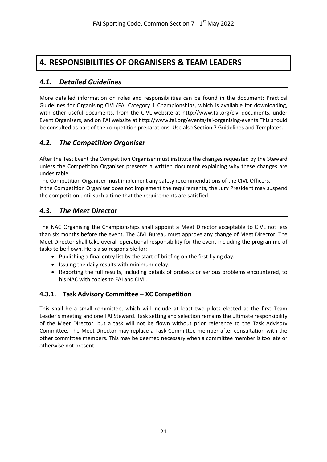# <span id="page-20-0"></span>**4. RESPONSIBILITIES OF ORGANISERS & TEAM LEADERS**

# <span id="page-20-1"></span>*4.1. Detailed Guidelines*

More detailed information on roles and responsibilities can be found in the document: Practical Guidelines for Organising CIVL/FAI Category 1 Championships, which is available for downloading, with other useful documents, from the CIVL website at http://www.fai.org/civl-documents, under Event Organisers, and on FAI website a[t http://www.fai.org/events/fai-organising-events.](http://www.fai.org/events/fai-organising-events)This should be consulted as part of the competition preparations. Use also Section 7 Guidelines and Templates.

# <span id="page-20-2"></span>*4.2. The Competition Organiser*

After the Test Event the Competition Organiser must institute the changes requested by the Steward unless the Competition Organiser presents a written document explaining why these changes are undesirable.

The Competition Organiser must implement any safety recommendations of the CIVL Officers. If the Competition Organiser does not implement the requirements, the Jury President may suspend the competition until such a time that the requirements are satisfied.

# <span id="page-20-3"></span>*4.3. The Meet Director*

The NAC Organising the Championships shall appoint a Meet Director acceptable to CIVL not less than six months before the event. The CIVL Bureau must approve any change of Meet Director. The Meet Director shall take overall operational responsibility for the event including the programme of tasks to be flown. He is also responsible for:

- Publishing a final entry list by the start of briefing on the first flying day.
- Issuing the daily results with minimum delay.
- Reporting the full results, including details of protests or serious problems encountered, to his NAC with copies to FAI and CIVL.

# <span id="page-20-4"></span>**4.3.1. Task Advisory Committee – XC Competition**

This shall be a small committee, which will include at least two pilots elected at the first Team Leader's meeting and one FAI Steward. Task setting and selection remains the ultimate responsibility of the Meet Director, but a task will not be flown without prior reference to the Task Advisory Committee. The Meet Director may replace a Task Committee member after consultation with the other committee members. This may be deemed necessary when a committee member is too late or otherwise not present.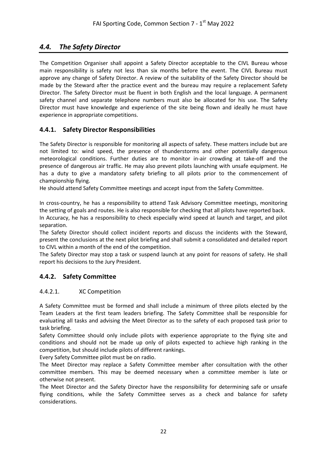# <span id="page-21-0"></span>*4.4. The Safety Director*

The Competition Organiser shall appoint a Safety Director acceptable to the CIVL Bureau whose main responsibility is safety not less than six months before the event. The CIVL Bureau must approve any change of Safety Director. A review of the suitability of the Safety Director should be made by the Steward after the practice event and the bureau may require a replacement Safety Director. The Safety Director must be fluent in both English and the local language. A permanent safety channel and separate telephone numbers must also be allocated for his use. The Safety Director must have knowledge and experience of the site being flown and ideally he must have experience in appropriate competitions.

# <span id="page-21-1"></span>**4.4.1. Safety Director Responsibilities**

The Safety Director is responsible for monitoring all aspects of safety. These matters include but are not limited to: wind speed, the presence of thunderstorms and other potentially dangerous meteorological conditions. Further duties are to monitor in-air crowding at take-off and the presence of dangerous air traffic. He may also prevent pilots launching with unsafe equipment. He has a duty to give a mandatory safety briefing to all pilots prior to the commencement of championship flying.

He should attend Safety Committee meetings and accept input from the Safety Committee.

In cross-country, he has a responsibility to attend Task Advisory Committee meetings, monitoring the setting of goals and routes. He is also responsible for checking that all pilots have reported back. In Accuracy, he has a responsibility to check especially wind speed at launch and target, and pilot separation.

The Safety Director should collect incident reports and discuss the incidents with the Steward, present the conclusions at the next pilot briefing and shall submit a consolidated and detailed report to CIVL within a month of the end of the competition.

The Safety Director may stop a task or suspend launch at any point for reasons of safety. He shall report his decisions to the Jury President.

# <span id="page-21-2"></span>**4.4.2. Safety Committee**

#### 4.4.2.1. XC Competition

A Safety Committee must be formed and shall include a minimum of three pilots elected by the Team Leaders at the first team leaders briefing. The Safety Committee shall be responsible for evaluating all tasks and advising the Meet Director as to the safety of each proposed task prior to task briefing.

Safety Committee should only include pilots with experience appropriate to the flying site and conditions and should not be made up only of pilots expected to achieve high ranking in the competition, but should include pilots of different rankings.

Every Safety Committee pilot must be on radio.

The Meet Director may replace a Safety Committee member after consultation with the other committee members. This may be deemed necessary when a committee member is late or otherwise not present.

The Meet Director and the Safety Director have the responsibility for determining safe or unsafe flying conditions, while the Safety Committee serves as a check and balance for safety considerations.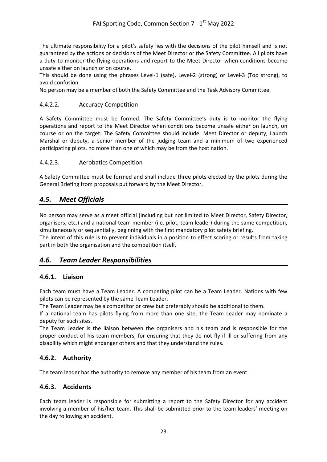The ultimate responsibility for a pilot's safety lies with the decisions of the pilot himself and is not guaranteed by the actions or decisions of the Meet Director or the Safety Committee. All pilots have a duty to monitor the flying operations and report to the Meet Director when conditions become unsafe either on launch or on course.

This should be done using the phrases Level-1 (safe), Level-2 (strong) or Level-3 (Too strong), to avoid confusion.

No person may be a member of both the Safety Committee and the Task Advisory Committee.

#### 4.4.2.2. Accuracy Competition

A Safety Committee must be formed. The Safety Committee's duty is to monitor the flying operations and report to the Meet Director when conditions become unsafe either on launch, on course or on the target. The Safety Committee should include: Meet Director or deputy, Launch Marshal or deputy, a senior member of the judging team and a minimum of two experienced participating pilots, no more than one of which may be from the host nation.

#### 4.4.2.3. Aerobatics Competition

A Safety Committee must be formed and shall include three pilots elected by the pilots during the General Briefing from proposals put forward by the Meet Director.

# <span id="page-22-0"></span>*4.5. Meet Officials*

No person may serve as a meet official (including but not limited to Meet Director, Safety Director, organisers, etc.) and a national team member (i.e. pilot, team leader) during the same competition, simultaneously or sequentially, beginning with the first mandatory pilot safety briefing.

The intent of this rule is to prevent individuals in a position to effect scoring or results from taking part in both the organisation and the competition itself.

# <span id="page-22-1"></span>*4.6. Team Leader Responsibilities*

#### <span id="page-22-2"></span>**4.6.1. Liaison**

Each team must have a Team Leader. A competing pilot can be a Team Leader. Nations with few pilots can be represented by the same Team Leader.

The Team Leader may be a competitor or crew but preferably should be additional to them.

If a national team has pilots flying from more than one site, the Team Leader may nominate a deputy for such sites.

The Team Leader is the liaison between the organisers and his team and is responsible for the proper conduct of his team members, for ensuring that they do not fly if ill or suffering from any disability which might endanger others and that they understand the rules.

#### <span id="page-22-3"></span>**4.6.2. Authority**

<span id="page-22-4"></span>The team leader has the authority to remove any member of his team from an event.

#### **4.6.3. Accidents**

Each team leader is responsible for submitting a report to the Safety Director for any accident involving a member of his/her team. This shall be submitted prior to the team leaders' meeting on the day following an accident.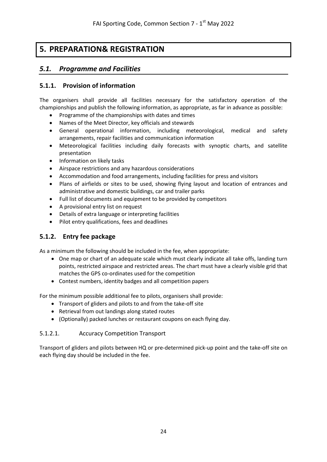# **5. PREPARATION& REGISTRATION**

# <span id="page-23-1"></span><span id="page-23-0"></span>*5.1. Programme and Facilities*

### <span id="page-23-2"></span>**5.1.1. Provision of information**

The organisers shall provide all facilities necessary for the satisfactory operation of the championships and publish the following information, as appropriate, as far in advance as possible:

- Programme of the championships with dates and times
- Names of the Meet Director, key officials and stewards
- General operational information, including meteorological, medical and safety arrangements, repair facilities and communication information
- Meteorological facilities including daily forecasts with synoptic charts, and satellite presentation
- Information on likely tasks
- Airspace restrictions and any hazardous considerations
- Accommodation and food arrangements, including facilities for press and visitors
- Plans of airfields or sites to be used, showing flying layout and location of entrances and administrative and domestic buildings, car and trailer parks
- Full list of documents and equipment to be provided by competitors
- A provisional entry list on request
- Details of extra language or interpreting facilities
- Pilot entry qualifications, fees and deadlines

#### <span id="page-23-3"></span>**5.1.2. Entry fee package**

As a minimum the following should be included in the fee, when appropriate:

- One map or chart of an adequate scale which must clearly indicate all take offs, landing turn points, restricted airspace and restricted areas. The chart must have a clearly visible grid that matches the GPS co-ordinates used for the competition
- Contest numbers, identity badges and all competition papers

For the minimum possible additional fee to pilots, organisers shall provide:

- Transport of gliders and pilots to and from the take-off site
- Retrieval from out landings along stated routes
- (Optionally) packed lunches or restaurant coupons on each flying day.

#### 5.1.2.1. Accuracy Competition Transport

Transport of gliders and pilots between HQ or pre-determined pick-up point and the take-off site on each flying day should be included in the fee.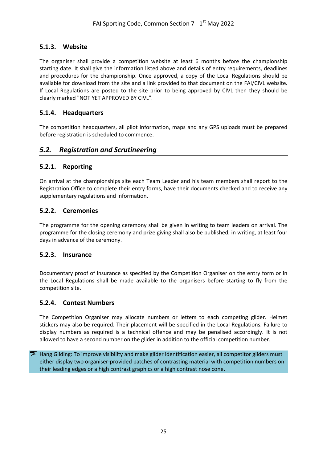# <span id="page-24-0"></span>**5.1.3. Website**

The organiser shall provide a competition website at least 6 months before the championship starting date. It shall give the information listed above and details of entry requirements, deadlines and procedures for the championship. Once approved, a copy of the Local Regulations should be available for download from the site and a link provided to that document on the FAI/CIVL website. If Local Regulations are posted to the site prior to being approved by CIVL then they should be clearly marked "NOT YET APPROVED BY CIVL".

### <span id="page-24-1"></span>**5.1.4. Headquarters**

The competition headquarters, all pilot information, maps and any GPS uploads must be prepared before registration is scheduled to commence.

# <span id="page-24-2"></span>*5.2. Registration and Scrutineering*

#### <span id="page-24-3"></span>**5.2.1. Reporting**

On arrival at the championships site each Team Leader and his team members shall report to the Registration Office to complete their entry forms, have their documents checked and to receive any supplementary regulations and information.

## <span id="page-24-4"></span>**5.2.2. Ceremonies**

The programme for the opening ceremony shall be given in writing to team leaders on arrival. The programme for the closing ceremony and prize giving shall also be published, in writing, at least four days in advance of the ceremony.

#### <span id="page-24-5"></span>**5.2.3. Insurance**

Documentary proof of insurance as specified by the Competition Organiser on the entry form or in the Local Regulations shall be made available to the organisers before starting to fly from the competition site.

#### <span id="page-24-6"></span>**5.2.4. Contest Numbers**

The Competition Organiser may allocate numbers or letters to each competing glider. Helmet stickers may also be required. Their placement will be specified in the Local Regulations. Failure to display numbers as required is a technical offence and may be penalised accordingly. It is not allowed to have a second number on the glider in addition to the official competition number.

Hang Gliding: To improve visibility and make glider identification easier, all competitor gliders must either display two organiser-provided patches of contrasting material with competition numbers on their leading edges or a high contrast graphics or a high contrast nose cone.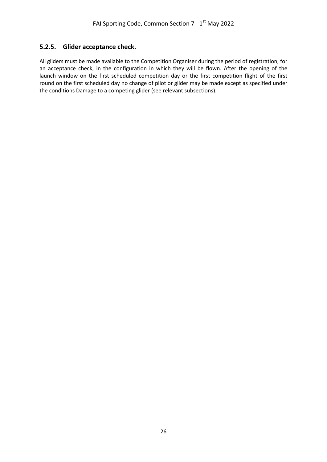# <span id="page-25-0"></span>**5.2.5. Glider acceptance check.**

All gliders must be made available to the Competition Organiser during the period of registration, for an acceptance check, in the configuration in which they will be flown. After the opening of the launch window on the first scheduled competition day or the first competition flight of the first round on the first scheduled day no change of pilot or glider may be made except as specified under the conditions Damage to a competing glider (see relevant subsections).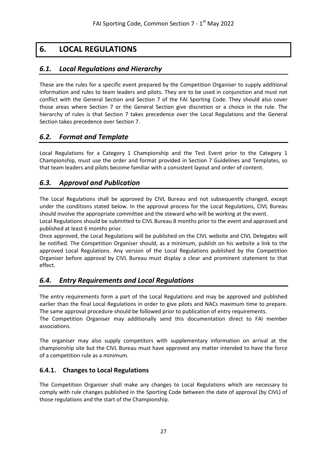# **6. LOCAL REGULATIONS**

# <span id="page-26-1"></span><span id="page-26-0"></span>*6.1. Local Regulations and Hierarchy*

These are the rules for a specific event prepared by the Competition Organiser to supply additional information and rules to team leaders and pilots. They are to be used in conjunction and must not conflict with the General Section and Section 7 of the FAI Sporting Code. They should also cover those areas where Section 7 or the General Section give discretion or a choice in the rule. The hierarchy of rules is that Section 7 takes precedence over the Local Regulations and the General Section takes precedence over Section 7.

# <span id="page-26-2"></span>*6.2. Format and Template*

Local Regulations for a Category 1 Championship and the Test Event prior to the Category 1 Championship, must use the order and format provided in Section 7 Guidelines and Templates, so that team leaders and pilots become familiar with a consistent layout and order of content.

# <span id="page-26-3"></span>*6.3. Approval and Publication*

The Local Regulations shall be approved by CIVL Bureau and not subsequently changed, except under the conditions stated below. In the approval process for the Local Regulations, CIVL Bureau should involve the appropriate committee and the steward who will be working at the event.

Local Regulations should be submitted to CIVL Bureau 8 months prior to the event and approved and published at least 6 months prior.

Once approved, the Local Regulations will be published on the CIVL website and CIVL Delegates will be notified. The Competition Organiser should, as a minimum, publish on his website a link to the approved Local Regulations. Any version of the Local Regulations published by the Competition Organiser before approval by CIVL Bureau must display a clear and prominent statement to that effect.

# <span id="page-26-4"></span>*6.4. Entry Requirements and Local Regulations*

The entry requirements form a part of the Local Regulations and may be approved and published earlier than the final Local Regulations in order to give pilots and NACs maximum time to prepare. The same approval procedure should be followed prior to publication of entry requirements.

The Competition Organiser may additionally send this documentation direct to FAI member associations.

The organiser may also supply competitors with supplementary information on arrival at the championship site but the CIVL Bureau must have approved any matter intended to have the force of a competition rule as a minimum.

# <span id="page-26-5"></span>**6.4.1. Changes to Local Regulations**

The Competition Organiser shall make any changes to Local Regulations which are necessary to comply with rule changes published in the Sporting Code between the date of approval (by CIVL) of those regulations and the start of the Championship.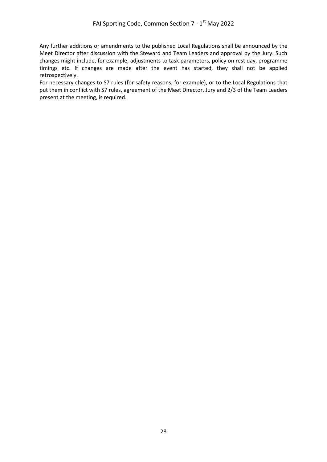Any further additions or amendments to the published Local Regulations shall be announced by the Meet Director after discussion with the Steward and Team Leaders and approval by the Jury. Such changes might include, for example, adjustments to task parameters, policy on rest day, programme timings etc. If changes are made after the event has started, they shall not be applied retrospectively.

For necessary changes to S7 rules (for safety reasons, for example), or to the Local Regulations that put them in conflict with S7 rules, agreement of the Meet Director, Jury and 2/3 of the Team Leaders present at the meeting, is required.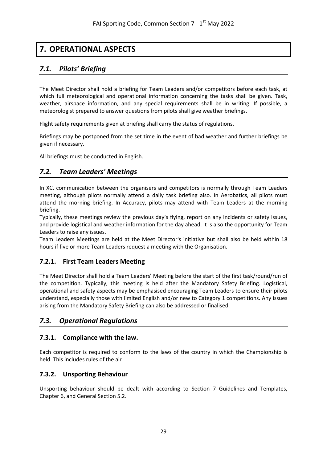# **7. OPERATIONAL ASPECTS**

# <span id="page-28-1"></span><span id="page-28-0"></span>*7.1. Pilots' Briefing*

The Meet Director shall hold a briefing for Team Leaders and/or competitors before each task, at which full meteorological and operational information concerning the tasks shall be given. Task, weather, airspace information, and any special requirements shall be in writing. If possible, a meteorologist prepared to answer questions from pilots shall give weather briefings.

Flight safety requirements given at briefing shall carry the status of regulations.

Briefings may be postponed from the set time in the event of bad weather and further briefings be given if necessary.

<span id="page-28-2"></span>All briefings must be conducted in English.

# *7.2. Team Leaders' Meetings*

In XC, communication between the organisers and competitors is normally through Team Leaders meeting, although pilots normally attend a daily task briefing also. In Aerobatics, all pilots must attend the morning briefing. In Accuracy, pilots may attend with Team Leaders at the morning briefing.

Typically, these meetings review the previous day's flying, report on any incidents or safety issues, and provide logistical and weather information for the day ahead. It is also the opportunity for Team Leaders to raise any issues.

Team Leaders Meetings are held at the Meet Director's initiative but shall also be held within 18 hours if five or more Team Leaders request a meeting with the Organisation.

# <span id="page-28-3"></span>**7.2.1. First Team Leaders Meeting**

The Meet Director shall hold a Team Leaders' Meeting before the start of the first task/round/run of the competition. Typically, this meeting is held after the Mandatory Safety Briefing. Logistical, operational and safety aspects may be emphasised encouraging Team Leaders to ensure their pilots understand, especially those with limited English and/or new to Category 1 competitions. Any issues arising from the Mandatory Safety Briefing can also be addressed or finalised.

# <span id="page-28-4"></span>*7.3. Operational Regulations*

#### <span id="page-28-5"></span>**7.3.1. Compliance with the law.**

Each competitor is required to conform to the laws of the country in which the Championship is held. This includes rules of the air

# <span id="page-28-6"></span>**7.3.2. Unsporting Behaviour**

Unsporting behaviour should be dealt with according to Section 7 Guidelines and Templates, Chapter 6, and General Section 5.2.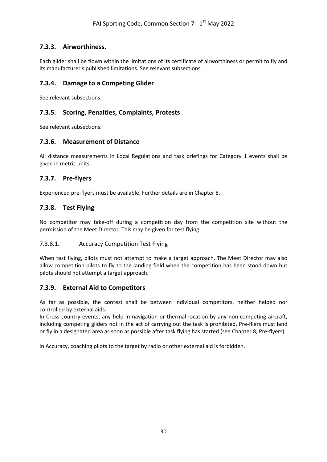# <span id="page-29-0"></span>**7.3.3. Airworthiness.**

Each glider shall be flown within the limitations of its certificate of airworthiness or permit to fly and its manufacturer's published limitations. See relevant subsections.

### <span id="page-29-1"></span>**7.3.4. Damage to a Competing Glider**

<span id="page-29-2"></span>See relevant subsections.

# **7.3.5. Scoring, Penalties, Complaints, Protests**

<span id="page-29-3"></span>See relevant subsections.

#### **7.3.6. Measurement of Distance**

All distance measurements in Local Regulations and task briefings for Category 1 events shall be given in metric units.

## <span id="page-29-4"></span>**7.3.7. Pre-flyers**

<span id="page-29-5"></span>Experienced pre-flyers must be available. Further details are in Chapter 8.

# **7.3.8. Test Flying**

No competitor may take-off during a competition day from the competition site without the permission of the Meet Director. This may be given for test flying.

#### 7.3.8.1. Accuracy Competition Test Flying

When test flying, pilots must not attempt to make a target approach. The Meet Director may also allow competition pilots to fly to the landing field when the competition has been stood down but pilots should not attempt a target approach.

#### <span id="page-29-6"></span>**7.3.9. External Aid to Competitors**

As far as possible, the contest shall be between individual competitors, neither helped nor controlled by external aids.

In Cross-country events, any help in navigation or thermal location by any non-competing aircraft, including competing gliders not in the act of carrying out the task is prohibited. Pre-fliers must land or fly in a designated area as soon as possible after task flying has started (see Chapter 8, Pre-flyers).

In Accuracy, coaching pilots to the target by radio or other external aid is forbidden.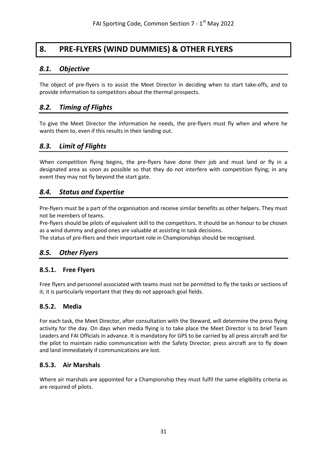# **8. PRE-FLYERS (WIND DUMMIES) & OTHER FLYERS**

# <span id="page-30-1"></span><span id="page-30-0"></span>*8.1. Objective*

The object of pre-flyers is to assist the Meet Director in deciding when to start take-offs, and to provide information to competitors about the thermal prospects.

# <span id="page-30-2"></span>*8.2. Timing of Flights*

To give the Meet Director the information he needs, the pre-flyers must fly when and where he wants them to, even if this results in their landing out.

# <span id="page-30-3"></span>*8.3. Limit of Flights*

When competition flying begins, the pre-flyers have done their job and must land or fly in a designated area as soon as possible so that they do not interfere with competition flying; in any event they may not fly beyond the start gate.

# <span id="page-30-4"></span>*8.4. Status and Expertise*

Pre-flyers must be a part of the organisation and receive similar benefits as other helpers. They must not be members of teams.

Pre-flyers should be pilots of equivalent skill to the competitors. It should be an honour to be chosen as a wind dummy and good ones are valuable at assisting in task decisions.

<span id="page-30-5"></span>The status of pre-fliers and their important role in Championships should be recognised.

# *8.5. Other Flyers*

#### <span id="page-30-6"></span>**8.5.1. Free Flyers**

Free flyers and personnel associated with teams must not be permitted to fly the tasks or sections of it; it is particularly important that they do not approach goal fields.

# <span id="page-30-7"></span>**8.5.2. Media**

For each task, the Meet Director, after consultation with the Steward, will determine the press flying activity for the day. On days when media flying is to take place the Meet Director is to brief Team Leaders and FAI Officials in advance. It is mandatory for GPS to be carried by all press aircraft and for the pilot to maintain radio communication with the Safety Director; press aircraft are to fly down and land immediately if communications are lost.

#### <span id="page-30-8"></span>**8.5.3. Air Marshals**

Where air marshals are appointed for a Championship they must fulfil the same eligibility criteria as are required of pilots.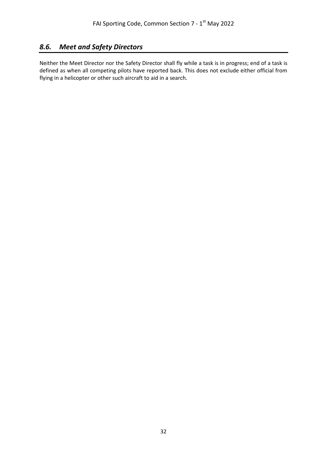# <span id="page-31-0"></span>*8.6. Meet and Safety Directors*

Neither the Meet Director nor the Safety Director shall fly while a task is in progress; end of a task is defined as when all competing pilots have reported back. This does not exclude either official from flying in a helicopter or other such aircraft to aid in a search.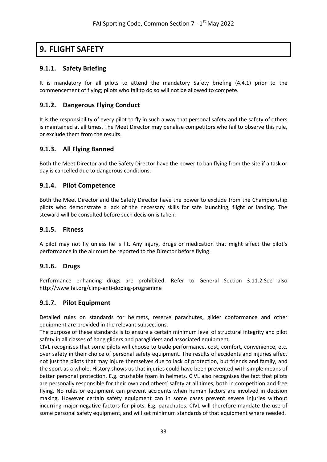# <span id="page-32-0"></span>**9. FLIGHT SAFETY**

# <span id="page-32-1"></span>**9.1.1. Safety Briefing**

It is mandatory for all pilots to attend the mandatory Safety briefing (4.4.1) prior to the commencement of flying; pilots who fail to do so will not be allowed to compete.

# <span id="page-32-2"></span>**9.1.2. Dangerous Flying Conduct**

It is the responsibility of every pilot to fly in such a way that personal safety and the safety of others is maintained at all times. The Meet Director may penalise competitors who fail to observe this rule, or exclude them from the results.

# <span id="page-32-3"></span>**9.1.3. All Flying Banned**

Both the Meet Director and the Safety Director have the power to ban flying from the site if a task or day is cancelled due to dangerous conditions.

# <span id="page-32-4"></span>**9.1.4. Pilot Competence**

Both the Meet Director and the Safety Director have the power to exclude from the Championship pilots who demonstrate a lack of the necessary skills for safe launching, flight or landing. The steward will be consulted before such decision is taken.

#### <span id="page-32-5"></span>**9.1.5. Fitness**

A pilot may not fly unless he is fit. Any injury, drugs or medication that might affect the pilot's performance in the air must be reported to the Director before flying.

#### <span id="page-32-6"></span>**9.1.6. Drugs**

Performance enhancing drugs are prohibited. Refer to General Section 3.11.2.See also http://www.fai.org/cimp-anti-doping-programme

#### <span id="page-32-7"></span>**9.1.7. Pilot Equipment**

Detailed rules on standards for helmets, reserve parachutes, glider conformance and other equipment are provided in the relevant subsections.

The purpose of these standards is to ensure a certain minimum level of structural integrity and pilot safety in all classes of hang gliders and paragliders and associated equipment.

CIVL recognises that some pilots will choose to trade performance, cost, comfort, convenience, etc. over safety in their choice of personal safety equipment. The results of accidents and injuries affect not just the pilots that may injure themselves due to lack of protection, but friends and family, and the sport as a whole. History shows us that injuries could have been prevented with simple means of better personal protection. E.g. crushable foam in helmets. CIVL also recognises the fact that pilots are personally responsible for their own and others' safety at all times, both in competition and free flying. No rules or equipment can prevent accidents when human factors are involved in decision making. However certain safety equipment can in some cases prevent severe injuries without incurring major negative factors for pilots. E.g. parachutes. CIVL will therefore mandate the use of some personal safety equipment, and will set minimum standards of that equipment where needed.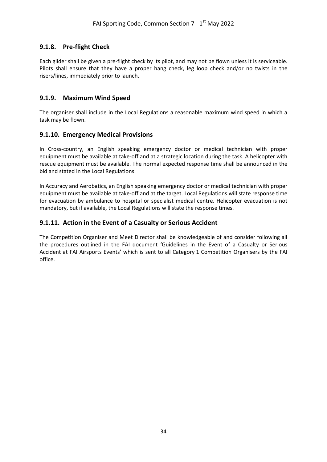# <span id="page-33-0"></span>**9.1.8. Pre-flight Check**

Each glider shall be given a pre-flight check by its pilot, and may not be flown unless it is serviceable. Pilots shall ensure that they have a proper hang check, leg loop check and/or no twists in the risers/lines, immediately prior to launch.

### <span id="page-33-1"></span>**9.1.9. Maximum Wind Speed**

The organiser shall include in the Local Regulations a reasonable maximum wind speed in which a task may be flown.

#### <span id="page-33-2"></span>**9.1.10. Emergency Medical Provisions**

In Cross-country, an English speaking emergency doctor or medical technician with proper equipment must be available at take-off and at a strategic location during the task. A helicopter with rescue equipment must be available. The normal expected response time shall be announced in the bid and stated in the Local Regulations.

In Accuracy and Aerobatics, an English speaking emergency doctor or medical technician with proper equipment must be available at take-off and at the target. Local Regulations will state response time for evacuation by ambulance to hospital or specialist medical centre. Helicopter evacuation is not mandatory, but if available, the Local Regulations will state the response times.

#### <span id="page-33-3"></span>**9.1.11. Action in the Event of a Casualty or Serious Accident**

The Competition Organiser and Meet Director shall be knowledgeable of and consider following all the procedures outlined in the FAI document 'Guidelines in the Event of a Casualty or Serious Accident at FAI Airsports Events' which is sent to all Category 1 Competition Organisers by the FAI office.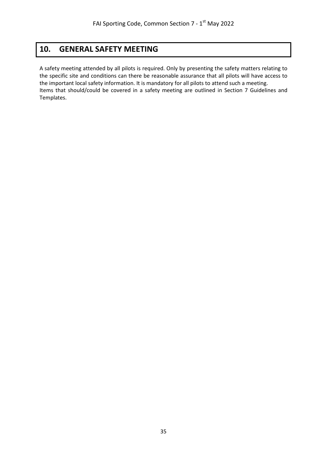# **10. GENERAL SAFETY MEETING**

<span id="page-34-0"></span>A safety meeting attended by all pilots is required. Only by presenting the safety matters relating to the specific site and conditions can there be reasonable assurance that all pilots will have access to the important local safety information. It is mandatory for all pilots to attend such a meeting. Items that should/could be covered in a safety meeting are outlined in Section 7 Guidelines and Templates.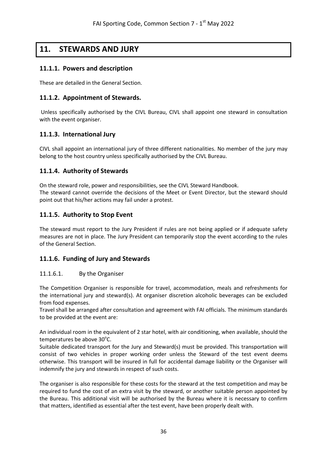# <span id="page-35-0"></span>**11. STEWARDS AND JURY**

# <span id="page-35-1"></span>**11.1.1. Powers and description**

<span id="page-35-2"></span>These are detailed in the General Section.

# **11.1.2. Appointment of Stewards.**

Unless specifically authorised by the CIVL Bureau, CIVL shall appoint one steward in consultation with the event organiser.

## <span id="page-35-3"></span>**11.1.3. International Jury**

CIVL shall appoint an international jury of three different nationalities. No member of the jury may belong to the host country unless specifically authorised by the CIVL Bureau.

## <span id="page-35-4"></span>**11.1.4. Authority of Stewards**

On the steward role, power and responsibilities, see the CIVL Steward Handbook. The steward cannot override the decisions of the Meet or Event Director, but the steward should point out that his/her actions may fail under a protest.

# <span id="page-35-5"></span>**11.1.5. Authority to Stop Event**

The steward must report to the Jury President if rules are not being applied or if adequate safety measures are not in place. The Jury President can temporarily stop the event according to the rules of the General Section.

# <span id="page-35-6"></span>**11.1.6. Funding of Jury and Stewards**

#### 11.1.6.1. By the Organiser

The Competition Organiser is responsible for travel, accommodation, meals and refreshments for the international jury and steward(s). At organiser discretion alcoholic beverages can be excluded from food expenses.

Travel shall be arranged after consultation and agreement with FAI officials. The minimum standards to be provided at the event are:

An individual room in the equivalent of 2 star hotel, with air conditioning, when available, should the temperatures be above  $30^{\circ}$ C.

Suitable dedicated transport for the Jury and Steward(s) must be provided. This transportation will consist of two vehicles in proper working order unless the Steward of the test event deems otherwise. This transport will be insured in full for accidental damage liability or the Organiser will indemnify the jury and stewards in respect of such costs.

The organiser is also responsible for these costs for the steward at the test competition and may be required to fund the cost of an extra visit by the steward, or another suitable person appointed by the Bureau. This additional visit will be authorised by the Bureau where it is necessary to confirm that matters, identified as essential after the test event, have been properly dealt with.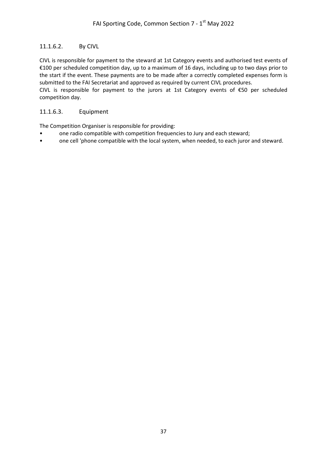### 11.1.6.2. By CIVL

CIVL is responsible for payment to the steward at 1st Category events and authorised test events of €100 per scheduled competition day, up to a maximum of 16 days, including up to two days prior to the start if the event. These payments are to be made after a correctly completed expenses form is submitted to the FAI Secretariat and approved as required by current CIVL procedures.

CIVL is responsible for payment to the jurors at 1st Category events of €50 per scheduled competition day.

#### 11.1.6.3. Equipment

The Competition Organiser is responsible for providing:

- one radio compatible with competition frequencies to Jury and each steward;
- one cell 'phone compatible with the local system, when needed, to each juror and steward.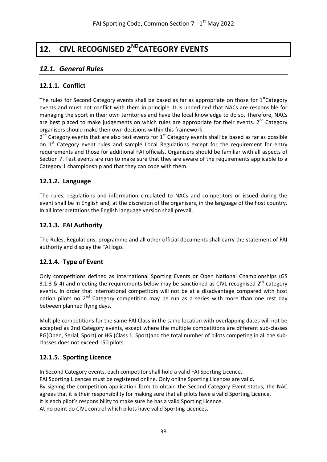# <span id="page-37-0"></span>**12. CIVL RECOGNISED 2<sup>ND</sup>CATEGORY EVENTS**

# <span id="page-37-1"></span>*12.1. General Rules*

### <span id="page-37-2"></span>**12.1.1. Conflict**

The rules for Second Category events shall be based as far as appropriate on those for  $1<sup>st</sup>$ Category events and must not conflict with them in principle. It is underlined that NACs are responsible for managing the sport in their own territories and have the local knowledge to do so. Therefore, NACs are best placed to make judgements on which rules are appropriate for their events.  $2^{nd}$  Category organisers should make their own decisions within this framework.

 $2^{nd}$  Category events that are also test events for  $1^{st}$  Category events shall be based as far as possible on 1<sup>st</sup> Category event rules and sample Local Regulations except for the requirement for entry requirements and those for additional FAI officials. Organisers should be familiar with all aspects of Section 7. Test events are run to make sure that they are aware of the requirements applicable to a Category 1 championship and that they can cope with them.

#### <span id="page-37-3"></span>**12.1.2. Language**

The rules, regulations and information circulated to NACs and competitors or issued during the event shall be in English and, at the discretion of the organisers, in the language of the host country. In all interpretations the English language version shall prevail.

#### <span id="page-37-4"></span>**12.1.3. FAI Authority**

The Rules, Regulations, programme and all other official documents shall carry the statement of FAI authority and display the FAI logo.

#### <span id="page-37-5"></span>**12.1.4. Type of Event**

Only competitions defined as International Sporting Events or Open National Championships (GS 3.1.3 & 4) and meeting the requirements below may be sanctioned as CIVL recognised  $2^{nd}$  category events. In order that international competitors will not be at a disadvantage compared with host nation pilots no  $2^{nd}$  Category competition may be run as a series with more than one rest day between planned flying days.

Multiple competitions for the same FAI Class in the same location with overlapping dates will not be accepted as 2nd Category events, except where the multiple competitions are different sub-classes PG(Open, Serial, Sport) or HG (Class 1, Sport)and the total number of pilots competing in all the subclasses does not exceed 150 pilots.

#### <span id="page-37-6"></span>**12.1.5. Sporting Licence**

In Second Category events, each competitor shall hold a valid FAI Sporting Licence. FAI Sporting Licences must be registered online. Only online Sporting Licences are valid. By signing the competition application form to obtain the Second Category Event status, the NAC agrees that it is their responsibility for making sure that all pilots have a valid Sporting Licence. It is each pilot's responsibility to make sure he has a valid Sporting Licence. At no point do CIVL control which pilots have valid Sporting Licences.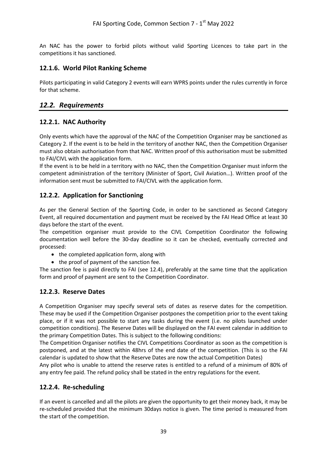An NAC has the power to forbid pilots without valid Sporting Licences to take part in the competitions it has sanctioned.

# <span id="page-38-0"></span>**12.1.6. World Pilot Ranking Scheme**

Pilots participating in valid Category 2 events will earn WPRS points under the rules currently in force for that scheme.

# <span id="page-38-1"></span>*12.2. Requirements*

## <span id="page-38-2"></span>**12.2.1. NAC Authority**

Only events which have the approval of the NAC of the Competition Organiser may be sanctioned as Category 2. If the event is to be held in the territory of another NAC, then the Competition Organiser must also obtain authorisation from that NAC. Written proof of this authorisation must be submitted to FAI/CIVL with the application form.

If the event is to be held in a territory with no NAC, then the Competition Organiser must inform the competent administration of the territory (Minister of Sport, Civil Aviation…). Written proof of the information sent must be submitted to FAI/CIVL with the application form.

## <span id="page-38-3"></span>**12.2.2. Application for Sanctioning**

As per the General Section of the Sporting Code, in order to be sanctioned as Second Category Event, all required documentation and payment must be received by the FAI Head Office at least 30 days before the start of the event.

The competition organiser must provide to the CIVL Competition Coordinator the following documentation well before the 30-day deadline so it can be checked, eventually corrected and processed:

- the completed application form, along with
- the proof of payment of the sanction fee.

The sanction fee is paid directly to FAI (see 12.4), preferably at the same time that the application form and proof of payment are sent to the Competition Coordinator.

#### <span id="page-38-4"></span>**12.2.3. Reserve Dates**

A Competition Organiser may specify several sets of dates as reserve dates for the competition. These may be used if the Competition Organiser postpones the competition prior to the event taking place, or if it was not possible to start any tasks during the event (i.e. no pilots launched under competition conditions). The Reserve Dates will be displayed on the FAI event calendar in addition to the primary Competition Dates. This is subject to the following conditions:

The Competition Organiser notifies the CIVL Competitions Coordinator as soon as the competition is postponed, and at the latest within 48hrs of the end date of the competition. (This is so the FAI calendar is updated to show that the Reserve Dates are now the actual Competition Dates)

Any pilot who is unable to attend the reserve rates is entitled to a refund of a minimum of 80% of any entry fee paid. The refund policy shall be stated in the entry regulations for the event.

#### <span id="page-38-5"></span>**12.2.4. Re-scheduling**

If an event is cancelled and all the pilots are given the opportunity to get their money back, it may be re-scheduled provided that the minimum 30days notice is given. The time period is measured from the start of the competition.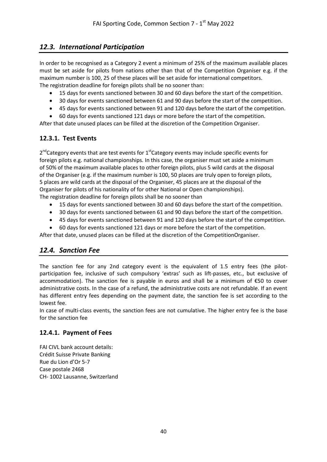# <span id="page-39-0"></span>*12.3. International Participation*

In order to be recognised as a Category 2 event a minimum of 25% of the maximum available places must be set aside for pilots from nations other than that of the Competition Organiser e.g. if the maximum number is 100, 25 of these places will be set aside for international competitors. The registration deadline for foreign pilots shall be no sooner than:

- 15 days for events sanctioned between 30 and 60 days before the start of the competition.
- 30 days for events sanctioned between 61 and 90 days before the start of the competition.
- 45 days for events sanctioned between 91 and 120 days before the start of the competition.
- 60 days for events sanctioned 121 days or more before the start of the competition.

<span id="page-39-1"></span>After that date unused places can be filled at the discretion of the Competition Organiser.

# **12.3.1. Test Events**

 $2^{nd}$ Category events that are test events for  $1^{st}$ Category events may include specific events for foreign pilots e.g. national championships. In this case, the organiser must set aside a minimum of 50% of the maximum available places to other foreign pilots, plus 5 wild cards at the disposal of the Organiser (e.g. if the maximum number is 100, 50 places are truly open to foreign pilots, 5 places are wild cards at the disposal of the Organiser, 45 places are at the disposal of the Organiser for pilots of his nationality of for other National or Open championships). The registration deadline for foreign pilots shall be no sooner than

- 15 days for events sanctioned between 30 and 60 days before the start of the competition.
- 30 days for events sanctioned between 61 and 90 days before the start of the competition.
- 45 days for events sanctioned between 91 and 120 days before the start of the competition.
- 60 days for events sanctioned 121 days or more before the start of the competition.

<span id="page-39-2"></span>After that date, unused places can be filled at the discretion of the CompetitionOrganiser.

# *12.4. Sanction Fee*

The sanction fee for any 2nd category event is the equivalent of 1.5 entry fees (the pilotparticipation fee, inclusive of such compulsory 'extras' such as lift-passes, etc., but exclusive of accommodation). The sanction fee is payable in euros and shall be a minimum of €50 to cover administrative costs. In the case of a refund, the administrative costs are not refundable. If an event has different entry fees depending on the payment date, the sanction fee is set according to the lowest fee.

In case of multi-class events, the sanction fees are not cumulative. The higher entry fee is the base for the sanction fee

# <span id="page-39-3"></span>**12.4.1. Payment of Fees**

FAI CIVL bank account details: Crédit Suisse Private Banking Rue du Lion d'Or 5-7 Case postale 2468 CH- 1002 Lausanne, Switzerland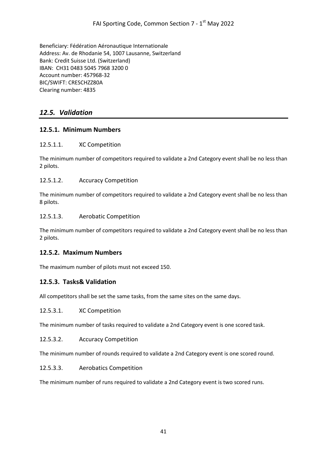Beneficiary: Fédération Aéronautique Internationale Address: Av. de Rhodanie 54, 1007 Lausanne, Switzerland Bank: Credit Suisse Ltd. (Switzerland) IBAN: CH31 0483 5045 7968 3200 0 Account number: 457968-32 BIC/SWIFT: CRESCHZZ80A Clearing number: 4835

# <span id="page-40-0"></span>*12.5. Validation*

#### <span id="page-40-1"></span>**12.5.1. Minimum Numbers**

#### 12.5.1.1. XC Competition

The minimum number of competitors required to validate a 2nd Category event shall be no less than 2 pilots.

#### 12.5.1.2. Accuracy Competition

The minimum number of competitors required to validate a 2nd Category event shall be no less than 8 pilots.

#### 12.5.1.3. Aerobatic Competition

The minimum number of competitors required to validate a 2nd Category event shall be no less than 2 pilots.

#### <span id="page-40-2"></span>**12.5.2. Maximum Numbers**

<span id="page-40-3"></span>The maximum number of pilots must not exceed 150.

#### **12.5.3. Tasks& Validation**

All competitors shall be set the same tasks, from the same sites on the same days.

12.5.3.1. XC Competition

The minimum number of tasks required to validate a 2nd Category event is one scored task.

12.5.3.2. Accuracy Competition

The minimum number of rounds required to validate a 2nd Category event is one scored round.

#### 12.5.3.3. Aerobatics Competition

The minimum number of runs required to validate a 2nd Category event is two scored runs.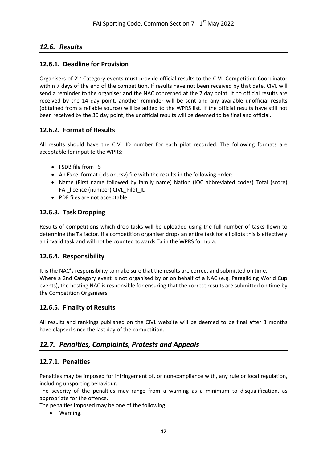# <span id="page-41-0"></span>*12.6. Results*

## <span id="page-41-1"></span>**12.6.1. Deadline for Provision**

Organisers of 2<sup>nd</sup> Category events must provide official results to the CIVL Competition Coordinator within 7 days of the end of the competition. If results have not been received by that date, CIVL will send a reminder to the organiser and the NAC concerned at the 7 day point. If no official results are received by the 14 day point, another reminder will be sent and any available unofficial results (obtained from a reliable source) will be added to the WPRS list. If the official results have still not been received by the 30 day point, the unofficial results will be deemed to be final and official.

## <span id="page-41-2"></span>**12.6.2. Format of Results**

All results should have the CIVL ID number for each pilot recorded. The following formats are acceptable for input to the WPRS:

- FSDB file from FS
- An Excel format (.xls or .csv) file with the results in the following order:
- Name (First name followed by family name) Nation (IOC abbreviated codes) Total (score) FAI\_licence (number) CIVL\_Pilot\_ID
- PDF files are not acceptable.

#### <span id="page-41-3"></span>**12.6.3. Task Dropping**

Results of competitions which drop tasks will be uploaded using the full number of tasks flown to determine the Ta factor. If a competition organiser drops an entire task for all pilots this is effectively an invalid task and will not be counted towards Ta in the WPRS formula.

#### <span id="page-41-4"></span>**12.6.4. Responsibility**

It is the NAC's responsibility to make sure that the results are correct and submitted on time. Where a 2nd Category event is not organised by or on behalf of a NAC (e.g. Paragliding World Cup events), the hosting NAC is responsible for ensuring that the correct results are submitted on time by the Competition Organisers.

#### <span id="page-41-5"></span>**12.6.5. Finality of Results**

All results and rankings published on the CIVL website will be deemed to be final after 3 months have elapsed since the last day of the competition.

# <span id="page-41-6"></span>*12.7. Penalties, Complaints, Protests and Appeals*

#### <span id="page-41-7"></span>**12.7.1. Penalties**

Penalties may be imposed for infringement of, or non-compliance with, any rule or local regulation, including unsporting behaviour.

The severity of the penalties may range from a warning as a minimum to disqualification, as appropriate for the offence.

The penalties imposed may be one of the following:

• Warning.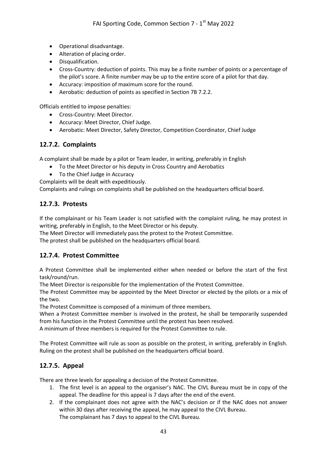- Operational disadvantage.
- Alteration of placing order.
- Disqualification.
- Cross-Country: deduction of points. This may be a finite number of points or a percentage of the pilot's score. A finite number may be up to the entire score of a pilot for that day.
- Accuracy: imposition of maximum score for the round.
- Aerobatic: deduction of points as specified in Section 7B 7.2.2.

Officials entitled to impose penalties:

- Cross-Country: Meet Director.
- Accuracy: Meet Director, Chief Judge.
- Aerobatic: Meet Director, Safety Director, Competition Coordinator, Chief Judge

# <span id="page-42-0"></span>**12.7.2. Complaints**

A complaint shall be made by a pilot or Team leader, in writing, preferably in English

- To the Meet Director or his deputy in Cross Country and Aerobatics
- To the Chief Judge in Accuracy

Complaints will be dealt with expeditiously.

Complaints and rulings on complaints shall be published on the headquarters official board.

# <span id="page-42-1"></span>**12.7.3. Protests**

If the complainant or his Team Leader is not satisfied with the complaint ruling, he may protest in writing, preferably in English, to the Meet Director or his deputy.

The Meet Director will immediately pass the protest to the Protest Committee.

<span id="page-42-2"></span>The protest shall be published on the headquarters official board.

# **12.7.4. Protest Committee**

A Protest Committee shall be implemented either when needed or before the start of the first task/round/run.

The Meet Director is responsible for the implementation of the Protest Committee.

The Protest Committee may be appointed by the Meet Director or elected by the pilots or a mix of the two.

The Protest Committee is composed of a minimum of three members.

When a Protest Committee member is involved in the protest, he shall be temporarily suspended from his function in the Protest Committee until the protest has been resolved.

A minimum of three members is required for the Protest Committee to rule.

The Protest Committee will rule as soon as possible on the protest, in writing, preferably in English. Ruling on the protest shall be published on the headquarters official board.

# <span id="page-42-3"></span>**12.7.5. Appeal**

There are three levels for appealing a decision of the Protest Committee.

- 1. The first level is an appeal to the organiser's NAC. The CIVL Bureau must be in copy of the appeal. The deadline for this appeal is 7 days after the end of the event.
- 2. If the complainant does not agree with the NAC's decision or if the NAC does not answer within 30 days after receiving the appeal, he may appeal to the CIVL Bureau. The complainant has 7 days to appeal to the CIVL Bureau.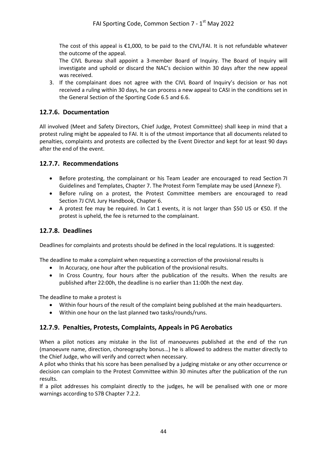The cost of this appeal is  $£1,000$ , to be paid to the CIVL/FAI. It is not refundable whatever the outcome of the appeal.

The CIVL Bureau shall appoint a 3-member Board of Inquiry. The Board of Inquiry will investigate and uphold or discard the NAC's decision within 30 days after the new appeal was received.

3. If the complainant does not agree with the CIVL Board of Inquiry's decision or has not received a ruling within 30 days, he can process a new appeal to CASI in the conditions set in the General Section of the Sporting Code 6.5 and 6.6.

# <span id="page-43-0"></span>**12.7.6. Documentation**

All involved (Meet and Safety Directors, Chief Judge, Protest Committee) shall keep in mind that a protest ruling might be appealed to FAI. It is of the utmost importance that all documents related to penalties, complaints and protests are collected by the Event Director and kept for at least 90 days after the end of the event.

#### <span id="page-43-1"></span>**12.7.7. Recommendations**

- Before protesting, the complainant or his Team Leader are encouraged to read Section 7I Guidelines and Templates, Chapter 7. The Protest Form Template may be used (Annexe F).
- Before ruling on a protest, the Protest Committee members are encouraged to read Section 7J CIVL Jury Handbook, Chapter 6.
- A protest fee may be required. In Cat 1 events, it is not larger than \$50 US or  $\epsilon$ 50. If the protest is upheld, the fee is returned to the complainant.

### <span id="page-43-2"></span>**12.7.8. Deadlines**

Deadlines for complaints and protests should be defined in the local regulations. It is suggested:

The deadline to make a complaint when requesting a correction of the provisional results is

- In Accuracy, one hour after the publication of the provisional results.
- In Cross Country, four hours after the publication of the results. When the results are published after 22:00h, the deadline is no earlier than 11:00h the next day.

The deadline to make a protest is

- Within four hours of the result of the complaint being published at the main headquarters.
- Within one hour on the last planned two tasks/rounds/runs.

#### <span id="page-43-3"></span>**12.7.9. Penalties, Protests, Complaints, Appeals in PG Aerobatics**

When a pilot notices any mistake in the list of manoeuvres published at the end of the run (manoeuvre name, direction, choreography bonus…) he is allowed to address the matter directly to the Chief Judge, who will verify and correct when necessary.

A pilot who thinks that his score has been penalised by a judging mistake or any other occurrence or decision can complain to the Protest Committee within 30 minutes after the publication of the run results.

If a pilot addresses his complaint directly to the judges, he will be penalised with one or more warnings according to S7B Chapter 7.2.2.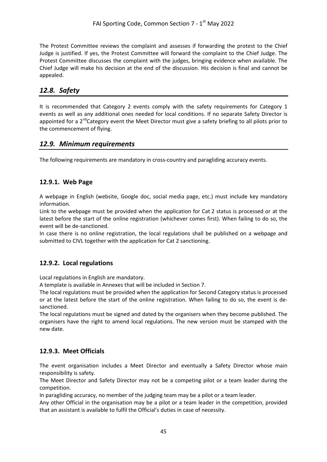The Protest Committee reviews the complaint and assesses if forwarding the protest to the Chief Judge is justified. If yes, the Protest Committee will forward the complaint to the Chief Judge. The Protest Committee discusses the complaint with the judges, bringing evidence when available. The Chief Judge will make his decision at the end of the discussion. His decision is final and cannot be appealed.

# <span id="page-44-0"></span>*12.8. Safety*

It is recommended that Category 2 events comply with the safety requirements for Category 1 events as well as any additional ones needed for local conditions. If no separate Safety Director is appointed for a  $2^{nd}$ Category event the Meet Director must give a safety briefing to all pilots prior to the commencement of flying.

# <span id="page-44-1"></span>*12.9. Minimum requirements*

The following requirements are mandatory in cross-country and paragliding accuracy events.

# <span id="page-44-2"></span>**12.9.1. Web Page**

A webpage in English (website, Google doc, social media page, etc.) must include key mandatory information.

Link to the webpage must be provided when the application for Cat 2 status is processed or at the latest before the start of the online registration (whichever comes first). When failing to do so, the event will be de-sanctioned.

In case there is no online registration, the local regulations shall be published on a webpage and submitted to CIVL together with the application for Cat 2 sanctioning.

# <span id="page-44-3"></span>**12.9.2. Local regulations**

Local regulations in English are mandatory.

A template is available in Annexes that will be included in Section 7.

The local regulations must be provided when the application for Second Category status is processed or at the latest before the start of the online registration. When failing to do so, the event is desanctioned.

The local regulations must be signed and dated by the organisers when they become published. The organisers have the right to amend local regulations. The new version must be stamped with the new date.

#### <span id="page-44-4"></span>**12.9.3. Meet Officials**

The event organisation includes a Meet Director and eventually a Safety Director whose main responsibility is safety.

The Meet Director and Safety Director may not be a competing pilot or a team leader during the competition.

In paragliding accuracy, no member of the judging team may be a pilot or a team leader.

Any other Official in the organisation may be a pilot or a team leader in the competition, provided that an assistant is available to fulfil the Official's duties in case of necessity.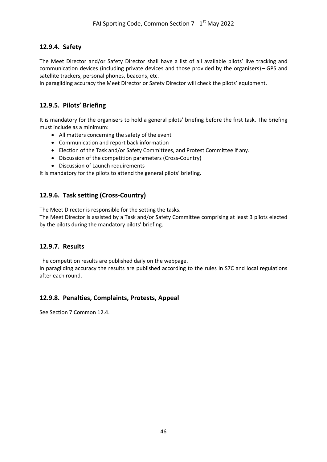# <span id="page-45-0"></span>**12.9.4. Safety**

The Meet Director and/or Safety Director shall have a list of all available pilots' live tracking and communication devices (including private devices and those provided by the organisers) – GPS and satellite trackers, personal phones, beacons, etc.

In paragliding accuracy the Meet Director or Safety Director will check the pilots' equipment.

# <span id="page-45-1"></span>**12.9.5. Pilots' Briefing**

It is mandatory for the organisers to hold a general pilots' briefing before the first task. The briefing must include as a minimum:

- All matters concerning the safety of the event
- Communication and report back information
- Election of the Task and/or Safety Committees, and Protest Committee if any-
- Discussion of the competition parameters (Cross-Country)
- Discussion of Launch requirements

It is mandatory for the pilots to attend the general pilots' briefing.

## <span id="page-45-2"></span>**12.9.6. Task setting (Cross-Country)**

The Meet Director is responsible for the setting the tasks.

The Meet Director is assisted by a Task and/or Safety Committee comprising at least 3 pilots elected by the pilots during the mandatory pilots' briefing.

#### <span id="page-45-3"></span>**12.9.7. Results**

The competition results are published daily on the webpage.

In paragliding accuracy the results are published according to the rules in S7C and local regulations after each round.

#### <span id="page-45-4"></span>**12.9.8. Penalties, Complaints, Protests, Appeal**

See Section 7 Common 12.4.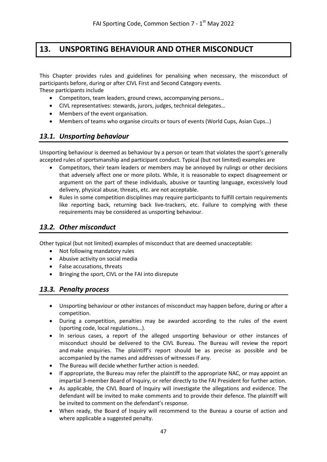# <span id="page-46-0"></span>**13. UNSPORTING BEHAVIOUR AND OTHER MISCONDUCT**

This Chapter provides rules and guidelines for penalising when necessary, the misconduct of participants before, during or after CIVL First and Second Category events.

These participants include

- Competitors, team leaders, ground crews, accompanying persons…
- CIVL representatives: stewards, jurors, judges, technical delegates…
- Members of the event organisation.
- Members of teams who organise circuits or tours of events (World Cups, Asian Cups…)

# <span id="page-46-1"></span>*13.1. Unsporting behaviour*

Unsporting behaviour is deemed as behaviour by a person or team that violates the sport's generally accepted rules of sportsmanship and participant conduct. Typical (but not limited) examples are

- Competitors, their team leaders or members may be annoyed by rulings or other decisions that adversely affect one or more pilots. While, it is reasonable to expect disagreement or argument on the part of these individuals, abusive or taunting language, excessively loud delivery, physical abuse, threats, etc. are not acceptable.
- Rules in some competition disciplines may require participants to fulfill certain requirements like reporting back, returning back live-trackers, etc. Failure to complying with these requirements may be considered as unsporting behaviour.

# <span id="page-46-2"></span>*13.2. Other misconduct*

Other typical (but not limited) examples of misconduct that are deemed unacceptable:

- Not following mandatory rules
- Abusive activity on social media
- False accusations, threats
- Bringing the sport, CIVL or the FAI into disrepute

# <span id="page-46-3"></span>*13.3. Penalty process*

- Unsporting behaviour or other instances of misconduct may happen before, during or after a competition.
- During a competition, penalties may be awarded according to the rules of the event (sporting code, local regulations…).
- In serious cases, a report of the alleged unsporting behaviour or other instances of misconduct should be delivered to the CIVL Bureau. The Bureau will review the report and make enquiries. The plaintiff's report should be as precise as possible and be accompanied by the names and addresses of witnesses if any.
- The Bureau will decide whether further action is needed.
- If appropriate, the Bureau may refer the plaintiff to the appropriate NAC, or may appoint an impartial 3-member Board of Inquiry, or refer directly to the FAI President for further action.
- As applicable, the CIVL Board of Inquiry will investigate the allegations and evidence. The defendant will be invited to make comments and to provide their defence. The plaintiff will be invited to comment on the defendant's response.
- When ready, the Board of Inquiry will recommend to the Bureau a course of action and where applicable a suggested penalty.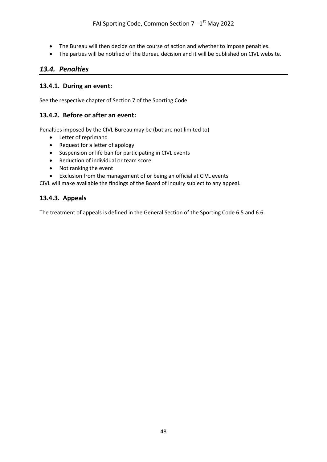- The Bureau will then decide on the course of action and whether to impose penalties.
- The parties will be notified of the Bureau decision and it will be published on CIVL website.

# <span id="page-47-0"></span>*13.4. Penalties*

#### <span id="page-47-1"></span>**13.4.1. During an event:**

<span id="page-47-2"></span>See the respective chapter of Section 7 of the Sporting Code

#### **13.4.2. Before or after an event:**

Penalties imposed by the CIVL Bureau may be (but are not limited to)

- Letter of reprimand
- Request for a letter of apology
- Suspension or life ban for participating in CIVL events
- Reduction of individual or team score
- Not ranking the event
- Exclusion from the management of or being an official at CIVL events

<span id="page-47-3"></span>CIVL will make available the findings of the Board of Inquiry subject to any appeal.

#### **13.4.3. Appeals**

The treatment of appeals is defined in the General Section of the Sporting Code 6.5 and 6.6.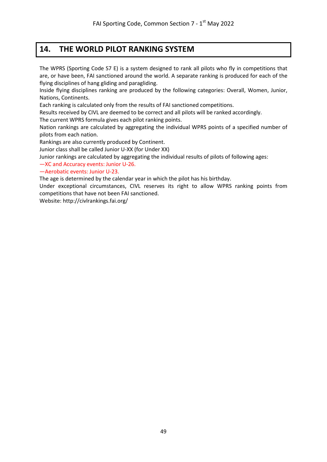# **14. THE WORLD PILOT RANKING SYSTEM**

<span id="page-48-0"></span>The WPRS (Sporting Code S7 E) is a system designed to rank all pilots who fly in competitions that are, or have been, FAI sanctioned around the world. A separate ranking is produced for each of the flying disciplines of hang gliding and paragliding.

Inside flying disciplines ranking are produced by the following categories: Overall, Women, Junior, Nations, Continents.

Each ranking is calculated only from the results of FAI sanctioned competitions.

Results received by CIVL are deemed to be correct and all pilots will be ranked accordingly.

The current WPRS formula gives each pilot ranking points.

Nation rankings are calculated by aggregating the individual WPRS points of a specified number of pilots from each nation.

Rankings are also currently produced by Continent.

Junior class shall be called Junior U-XX (for Under XX)

Junior rankings are calculated by aggregating the individual results of pilots of following ages:

—XC and Accuracy events: Junior U-26.

#### —Aerobatic events: Junior U-23.

The age is determined by the calendar year in which the pilot has his birthday.

Under exceptional circumstances, CIVL reserves its right to allow WPRS ranking points from competitions that have not been FAI sanctioned.

Website:<http://civlrankings.fai.org/>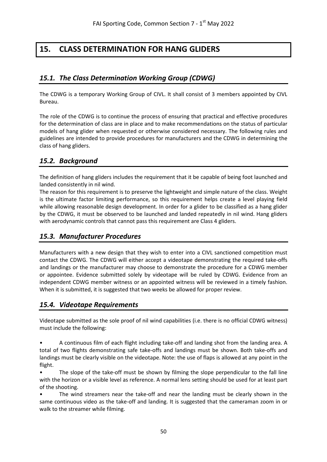# <span id="page-49-0"></span>**15. CLASS DETERMINATION FOR HANG GLIDERS**

# <span id="page-49-1"></span>*15.1. The Class Determination Working Group (CDWG)*

The CDWG is a temporary Working Group of CIVL. It shall consist of 3 members appointed by CIVL Bureau.

The role of the CDWG is to continue the process of ensuring that practical and effective procedures for the determination of class are in place and to make recommendations on the status of particular models of hang glider when requested or otherwise considered necessary. The following rules and guidelines are intended to provide procedures for manufacturers and the CDWG in determining the class of hang gliders.

# <span id="page-49-2"></span>*15.2. Background*

The definition of hang gliders includes the requirement that it be capable of being foot launched and landed consistently in nil wind.

The reason for this requirement is to preserve the lightweight and simple nature of the class. Weight is the ultimate factor limiting performance, so this requirement helps create a level playing field while allowing reasonable design development. In order for a glider to be classified as a hang glider by the CDWG, it must be observed to be launched and landed repeatedly in nil wind. Hang gliders with aerodynamic controls that cannot pass this requirement are Class 4 gliders.

# <span id="page-49-3"></span>*15.3. Manufacturer Procedures*

Manufacturers with a new design that they wish to enter into a CIVL sanctioned competition must contact the CDWG. The CDWG will either accept a videotape demonstrating the required take-offs and landings or the manufacturer may choose to demonstrate the procedure for a CDWG member or appointee. Evidence submitted solely by videotape will be ruled by CDWG. Evidence from an independent CDWG member witness or an appointed witness will be reviewed in a timely fashion. When it is submitted, it is suggested that two weeks be allowed for proper review.

# <span id="page-49-4"></span>*15.4. Videotape Requirements*

Videotape submitted as the sole proof of nil wind capabilities (i.e. there is no official CDWG witness) must include the following:

• A continuous film of each flight including take-off and landing shot from the landing area. A total of two flights demonstrating safe take-offs and landings must be shown. Both take-offs and landings must be clearly visible on the videotape. Note: the use of flaps is allowed at any point in the flight.

The slope of the take-off must be shown by filming the slope perpendicular to the fall line with the horizon or a visible level as reference. A normal lens setting should be used for at least part of the shooting.

The wind streamers near the take-off and near the landing must be clearly shown in the same continuous video as the take-off and landing. It is suggested that the cameraman zoom in or walk to the streamer while filming.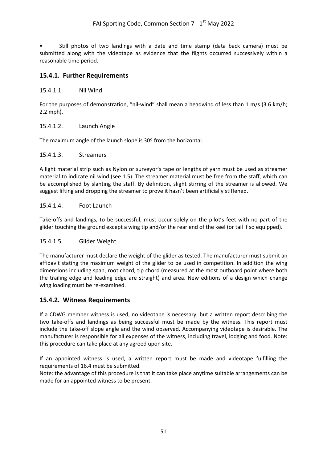• Still photos of two landings with a date and time stamp (data back camera) must be submitted along with the videotape as evidence that the flights occurred successively within a reasonable time period.

#### <span id="page-50-0"></span>**15.4.1. Further Requirements**

#### 15.4.1.1. Nil Wind

For the purposes of demonstration, "nil-wind" shall mean a headwind of less than 1 m/s (3.6 km/h; 2.2 mph).

#### 15.4.1.2. Launch Angle

The maximum angle of the launch slope is 30º from the horizontal.

#### 15.4.1.3. Streamers

A light material strip such as Nylon or surveyor's tape or lengths of yarn must be used as streamer material to indicate nil wind (see 1.5). The streamer material must be free from the staff, which can be accomplished by slanting the staff. By definition, slight stirring of the streamer is allowed. We suggest lifting and dropping the streamer to prove it hasn't been artificially stiffened.

#### 15.4.1.4. Foot Launch

Take-offs and landings, to be successful, must occur solely on the pilot's feet with no part of the glider touching the ground except a wing tip and/or the rear end of the keel (or tail if so equipped).

#### 15.4.1.5. Glider Weight

The manufacturer must declare the weight of the glider as tested. The manufacturer must submit an affidavit stating the maximum weight of the glider to be used in competition. In addition the wing dimensions including span, root chord, tip chord (measured at the most outboard point where both the trailing edge and leading edge are straight) and area. New editions of a design which change wing loading must be re-examined.

#### <span id="page-50-1"></span>**15.4.2. Witness Requirements**

If a CDWG member witness is used, no videotape is necessary, but a written report describing the two take-offs and landings as being successful must be made by the witness. This report must include the take-off slope angle and the wind observed. Accompanying videotape is desirable. The manufacturer is responsible for all expenses of the witness, including travel, lodging and food. Note: this procedure can take place at any agreed upon site.

If an appointed witness is used, a written report must be made and videotape fulfilling the requirements of 16.4 must be submitted.

Note: the advantage of this procedure is that it can take place anytime suitable arrangements can be made for an appointed witness to be present.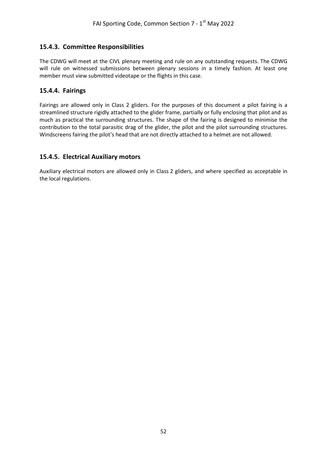# <span id="page-51-0"></span>**15.4.3. Committee Responsibilities**

The CDWG will meet at the CIVL plenary meeting and rule on any outstanding requests. The CDWG will rule on witnessed submissions between plenary sessions in a timely fashion. At least one member must view submitted videotape or the flights in this case.

## <span id="page-51-1"></span>**15.4.4. Fairings**

Fairings are allowed only in Class 2 gliders. For the purposes of this document a pilot fairing is a streamlined structure rigidly attached to the glider frame, partially or fully enclosing that pilot and as much as practical the surrounding structures. The shape of the fairing is designed to minimise the contribution to the total parasitic drag of the glider, the pilot and the pilot surrounding structures. Windscreens fairing the pilot's head that are not directly attached to a helmet are not allowed.

## <span id="page-51-2"></span>**15.4.5. Electrical Auxiliary motors**

Auxiliary electrical motors are allowed only in Class 2 gliders, and where specified as acceptable in the local regulations.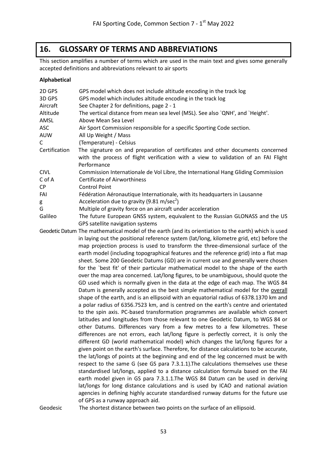# **16. GLOSSARY OF TERMS AND ABBREVIATIONS**

<span id="page-52-0"></span>This section amplifies a number of terms which are used in the main text and gives some generally accepted definitions and abbreviations relevant to air sports

#### **Alphabetical**

| 2D GPS        | GPS model which does not include altitude encoding in the track log                                                                                                                              |
|---------------|--------------------------------------------------------------------------------------------------------------------------------------------------------------------------------------------------|
| 3D GPS        | GPS model which includes altitude encoding in the track log                                                                                                                                      |
| Aircraft      | See Chapter 2 for definitions, page 2 - 1                                                                                                                                                        |
| Altitude      | The vertical distance from mean sea level (MSL). See also `QNH', and `Height'.                                                                                                                   |
| AMSL          | Above Mean Sea Level                                                                                                                                                                             |
| ASC           | Air Sport Commission responsible for a specific Sporting Code section.                                                                                                                           |
| AUW           | All Up Weight / Mass                                                                                                                                                                             |
| C             | (Temperature) - Celsius                                                                                                                                                                          |
| Certification | The signature on and preparation of certificates and other documents concerned<br>with the process of flight verification with a view to validation of an FAI Flight<br>Performance              |
| <b>CIVL</b>   | Commission Internationale de Vol Libre, the International Hang Gliding Commission                                                                                                                |
| C of A        | <b>Certificate of Airworthiness</b>                                                                                                                                                              |
| <b>CP</b>     | <b>Control Point</b>                                                                                                                                                                             |
| FAI           | Fédération Aéronautique Internationale, with its headquarters in Lausanne                                                                                                                        |
| g             | Acceleration due to gravity (9.81 m/sec <sup>2</sup> )                                                                                                                                           |
| G             | Multiple of gravity force on an aircraft under acceleration                                                                                                                                      |
| Galileo       | The future European GNSS system, equivalent to the Russian GLONASS and the US<br>GPS satellite navigation systems                                                                                |
|               | Geodetic Datum The mathematical model of the earth (and its orientiation to the earth) which is used<br>in laying out the positional reference system (lat/long, kilometre grid, etc) before the |
|               | map projection process is used to transform the three-dimensional surface of the                                                                                                                 |
|               | earth model (including topographical features and the reference grid) into a flat map<br>sheet. Some 200 Geodetic Datums (GD) are in current use and generally were chosen                       |
|               | for the 'best fit' of their particular mathematical model to the shape of the earth                                                                                                              |
|               | over the map area concerned. Lat/long figures, to be unambiguous, should quote the<br>GD used which is normally given in the data at the edge of each map. The WGS 84                            |
|               | Datum is generally accepted as the best simple mathematical model for the overall                                                                                                                |
|               | shape of the earth, and is an ellipsoid with an equatorial radius of 6378.1370 km and<br>a polar radius of 6356.7523 km, and is centred on the earth's centre and orientated                     |
|               | to the spin axis. PC-based transformation programmes are available which convert                                                                                                                 |
|               | latitudes and longitudes from those relevant to one Geodetic Datum, to WGS 84 or<br>other Datums. Differences vary from a few metres to a few kilometres. These                                  |
|               | differences are not errors, each lat/long figure is perfectly correct, it is only the                                                                                                            |
|               | different GD (world mathematical model) which changes the lat/long figures for a                                                                                                                 |
|               | given point on the earth's surface. Therefore, for distance calculations to be accurate,                                                                                                         |
|               | the lat/longs of points at the beginning and end of the leg concerned must be with                                                                                                               |
|               | respect to the same G (see GS para 7.3.1.1). The calculations themselves use these                                                                                                               |
|               | standardised lat/longs, applied to a distance calculation formula based on the FAI                                                                                                               |
|               | earth model given in GS para 7.3.1.1.The WGS 84 Datum can be used in deriving                                                                                                                    |
|               | lat/longs for long distance calculations and is used by ICAO and national aviation                                                                                                               |
|               | agencies in defining highly accurate standardised runway datums for the future use<br>of GPS as a runway approach aid.                                                                           |
| Coodoric      | The shortest distance between two points on the surface of an ellipsed                                                                                                                           |

Geodesic The shortest distance between two points on the surface of an ellipsoid.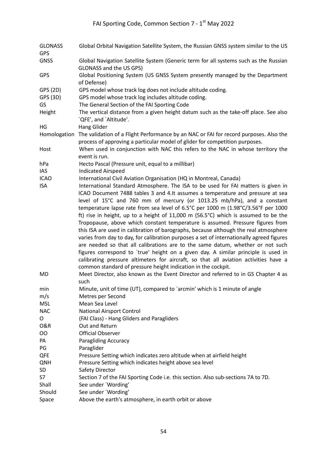| <b>GLONASS</b><br><b>GPS</b> | Global Orbital Navigation Satellite System, the Russian GNSS system similar to the US                          |
|------------------------------|----------------------------------------------------------------------------------------------------------------|
| <b>GNSS</b>                  | Global Navigation Satellite System (Generic term for all systems such as the Russian                           |
|                              | GLONASS and the US GPS)                                                                                        |
| <b>GPS</b>                   | Global Positioning System (US GNSS System presently managed by the Department<br>of Defense)                   |
| GPS (2D)                     | GPS model whose track log does not include altitude coding.                                                    |
| GPS (3D)                     | GPS model whose track log includes altitude coding.                                                            |
| GS                           | The General Section of the FAI Sporting Code                                                                   |
| Height                       | The vertical distance from a given height datum such as the take-off place. See also<br>'QFE', and 'Altitude'. |
| HG                           | <b>Hang Glider</b>                                                                                             |
| Homologation                 | The validation of a Flight Performance by an NAC or FAI for record purposes. Also the                          |
|                              | process of approving a particular model of glider for competition purposes.                                    |
| Host                         | When used in conjunction with NAC this refers to the NAC in whose territory the<br>event is run.               |
| hPa                          | Hecto Pascal (Pressure unit, equal to a millibar)                                                              |
| IAS                          | <b>Indicated Airspeed</b>                                                                                      |
| <b>ICAO</b>                  | International Civil Aviation Organisation (HQ in Montreal, Canada)                                             |
| <b>ISA</b>                   | International Standard Atmosphere. The ISA to be used for FAI matters is given in                              |
|                              | ICAO Document 7488 tables 3 and 4. It assumes a temperature and pressure at sea                                |
|                              | level of 15°C and 760 mm of mercury (or 1013.25 mb/hPa), and a constant                                        |
|                              | temperature lapse rate from sea level of 6.5°C per 1000 m (1.98°C/3.56°F per 1000                              |
|                              | ft) rise in height, up to a height of 11,000 m (56.5°C) which is assumed to be the                             |
|                              | Tropopause, above which constant temperature is assumed. Pressure figures from                                 |
|                              | this ISA are used in calibration of barographs, because although the real atmosphere                           |
|                              | varies from day to day, for calibration purposes a set of internationally agreed figures                       |
|                              | are needed so that all calibrations are to the same datum, whether or not such                                 |
|                              | figures correspond to 'true' height on a given day. A similar principle is used in                             |
|                              | calibrating pressure altimeters for aircraft, so that all aviation activities have a                           |
|                              | common standard of pressure height indication in the cockpit.                                                  |
| <b>MD</b>                    | Meet Director, also known as the Event Director and referred to in GS Chapter 4 as<br>such                     |
| min                          | Minute, unit of time (UT), compared to `arcmin' which is 1 minute of angle                                     |
| m/s                          | Metres per Second                                                                                              |
| <b>MSL</b>                   | Mean Sea Level                                                                                                 |
| <b>NAC</b>                   | <b>National Airsport Control</b>                                                                               |
| O                            | (FAI Class) - Hang Gliders and Paragliders                                                                     |
| O&R                          | Out and Return                                                                                                 |
| OO                           | <b>Official Observer</b>                                                                                       |
| PA                           | Paragliding Accuracy                                                                                           |
| PG                           | Paraglider                                                                                                     |
| QFE                          | Pressure Setting which indicates zero altitude when at airfield height                                         |
| <b>QNH</b>                   | Pressure Setting which indicates height above sea level                                                        |
| SD                           | Safety Director                                                                                                |
| S7                           | Section 7 of the FAI Sporting Code i.e. this section. Also sub-sections 7A to 7D.                              |
| Shall                        | See under 'Wording'                                                                                            |
| Should                       | See under 'Wording'<br>Above the earth's atmosphere, in earth orbit or above                                   |
| Space                        |                                                                                                                |